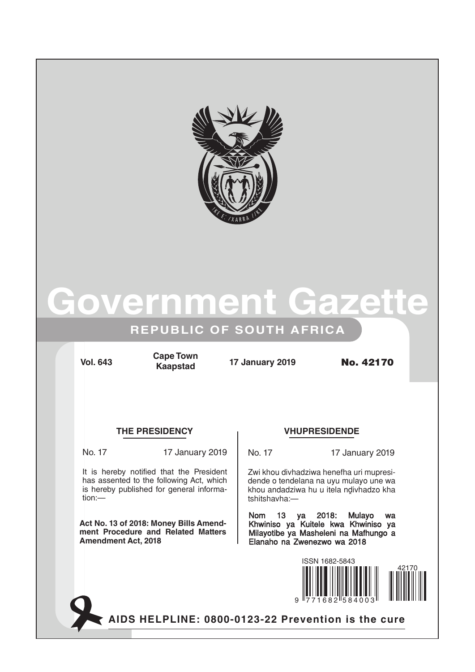

# overnment Gaze

# **REPUBLIC OF SOUTH AFRICA**

**Vol. 643 17 January 2019** No. 42170 **Cape Town Kaapstad**

## **THE PRESIDENCY VHUPRESIDENDE**

tion:—

No. 17 17 January 2019

It is hereby notified that the President has assented to the following Act, which is hereby published for general informa-

**Act No. 13 of 2018: Money Bills Amendment Procedure and Related Matters Amendment Act, 2018**

No. 17 17 January 2019

Zwi khou divhadziwa henefha uri mupresidende o tendelana na uyu mulayo une wa khou andadziwa hu u itela ndivhadzo kha tshitshavha:—

Nom 13 ya 2018: Mulayo wa Khwiniso ya Kuitele kwa Khwiniso ya Milayotibe ya Masheleni na Mafhungo a Elanaho na Zwenezwo wa 2018



AIDS HELPLINE: 0800-0123-22 Prevention is the cure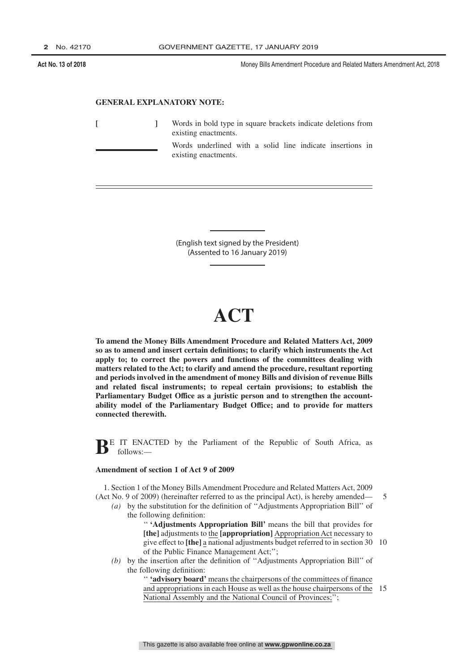#### **GENERAL EXPLANATORY NOTE:**

**[ ]** Words in bold type in square brackets indicate deletions from existing enactments. Words underlined with a solid line indicate insertions in existing enactments.

> (English text signed by the President) (Assented to 16 January 2019)

# **ACT**

**To amend the Money Bills Amendment Procedure and Related Matters Act, 2009 so as to amend and insert certain definitions; to clarify which instruments the Act apply to; to correct the powers and functions of the committees dealing with matters related to the Act; to clarify and amend the procedure, resultant reporting and periods involved in the amendment of money Bills and division of revenue Bills and related fiscal instruments; to repeal certain provisions; to establish the Parliamentary Budget Office as a juristic person and to strengthen the accountability model of the Parliamentary Budget Office; and to provide for matters connected therewith.**

**BE IT ENACTED** by the Parliament of the Republic of South Africa, as follows:—

#### **Amendment of section 1 of Act 9 of 2009**

1. Section 1 of the Money Bills Amendment Procedure and Related Matters Act, 2009 (Act No. 9 of 2009) (hereinafter referred to as the principal Act), is hereby amended—

*(a)* by the substitution for the definition of ''Adjustments Appropriation Bill'' of the following definition:

> '' **'Adjustments Appropriation Bill'** means the bill that provides for **[the]** adjustments to the **[appropriation]** Appropriation Act necessary to give effect to **[the]** a national adjustments budget referred to in section 30 10 of the Public Finance Management Act;'';

5

*(b)* by the insertion after the definition of ''Adjustments Appropriation Bill'' of the following definition:

> '' **'advisory board'** means the chairpersons of the committees of finance and appropriations in each House as well as the house chairpersons of the 15 National Assembly and the National Council of Provinces;'';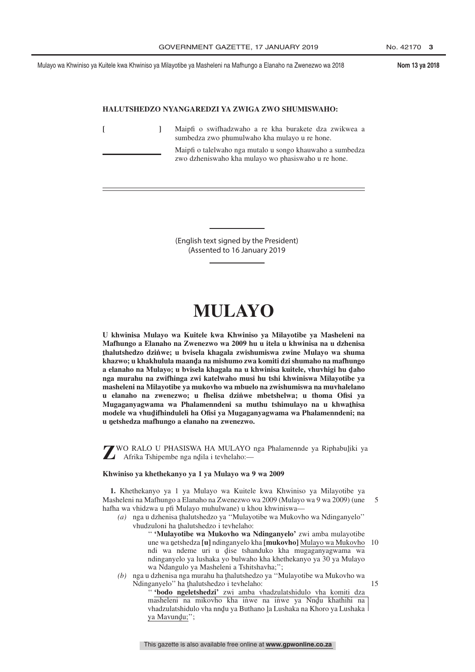#### **HALUTSHEDZO NYANGAREDZI YA ZWIGA ZWO SHUMISWAHO:**

|  | Maipfi o swifhadzwaho a re kha burakete dza zwikwea a<br>sumbedza zwo phumulwaho kha mulayo u re hone.           |
|--|------------------------------------------------------------------------------------------------------------------|
|  | Maipfi o talelwaho nga mutalo u songo khauwaho a sumbedza<br>zwo dzheniswaho kha mulayo wo phasiswaho u re hone. |

(English text signed by the President) (Assented to 16 January 2019

# **MULAYO**

**U khwinisa Mulayo wa Kuitele kwa Khwiniso ya Milayotibe ya Masheleni na Mafhungo a Elanaho na Zwenezwo wa 2009 hu u itela u khwinisa na u dzhenisa ˆ khazwo; u khakhulula maandˆ a na mishumo zwa komiti dzi shumaho na mafhungo thalutshedzo dzin˙ we; u bvisela khagala zwishumiswa zwine Mulayo wa shuma** a elanaho na Mulayo; u bvisela khagala na u khwinisa kuitele, vhuvhigi hu daho<br>pga murahu na zwifhinga zwi katelwaho musi hu tshi khwiniswa Milayotihe ya **nga murahu na zwifhinga zwi katelwaho musi hu tshi khwiniswa Milayotibe ya masheleni na Milayotibe ya mukovho wa mbuelo na zwishumiswa na muvhalelano u elanaho na zwenezwo; u fhelisa dzin˙ we mbetshelwa; u thoma Ofisi ya** Mugaganyagwama wa Phalamenndeni sa muthu tshimulayo na u khwa<u>t</u>hisa<br>modele wa yhudifhinduleli ha Ofisi ya Mugaganyagwama wa Phalamenndeni: na modele wa vhudifhinduleli ha Ofisi ya Mugaganyagwama wa Phalamenndeni; na<br>u natshedza mafhungo a elanabe na zwenezwo **u nˆ etshedza mafhungo a elanaho na zwenezwo.**

**Z**WO RALO U PHASISWA HA MULAYO nga Phalamennde ya Riphabuļiki ya Afrika Tshipembe nga ngila i tevhelaho:— Afrika Tshipembe nga ndila i tevhelaho:—

#### **Khwiniso ya khethekanyo ya 1 ya Mulayo wa 9 wa 2009**

**1.** Khethekanyo ya 1 ya Mulayo wa Kuitele kwa Khwiniso ya Milayotibe ya Masheleni na Mafhungo a Elanaho na Zwenezwo wa 2009 (Mulayo wa 9 wa 2009) (une hafha wa vhidzwa u pfi Mulayo muhulwane) u khou khwiniswa— 5

- (a) nga u dzhenisa thalutshedzo ya "Mulayotibe wa Mukovho wa Ndinganyelo"<br>
whudzuloni ha thalutshedzo i taybelaho: vhudzuloni ha thalutshedzo i tevhelaho:<br>
" **Mulayotihe wa Mukoyho wa** 
	- '' **'Mulayotibe wa Mukovho wa Ndinganyelo'** zwi amba mulayotibe une wa netshedza [**u]** ndinganyelo kha [**mukovho**] <u>Mulayo wa Mukovho</u> 10<br>ndia wa ndeme uri u dise tshanduko kha mugaganyagwama wa ndi wa ndeme uri u dise tshanduko kha mugaganyagwama wa<br>ndinganyelo ya lushaka yo bulwaho kha khethekanyo ya 30 ya Mulayo ndinganyelo ya lushaka yo bulwaho kha khethekanyo ya 30 ya Mulayo wa Ndangulo ya Masheleni a Tshitshavha;'';
- (b) nga u dzhenisa nga murahu ha thalutshedzo ya "Mulayotibe wa Mukovho wa<br>Ndinganyelo" ha thalutshedzo i teyhelaho: Ndinganyelo" ha thalutshedzo i tevhelaho:<br>"Shodo ngeletshedzi" zwi amba v

15

'' **'bodo ngeletshedzi'** zwi amba vhadzulatshidulo vha komiti dza masheleni na mikovho kha inwe na inwe ya Nndu khathihi na whadzulatshidulo yba nndu ya Buthano la Lushaka na Khoro ya Lushaka vhadzulatshidulo vha nndu ya Buthano la Lushaka na Khoro ya Lushaka<br>va Mayundu:'' ya Mavundu;";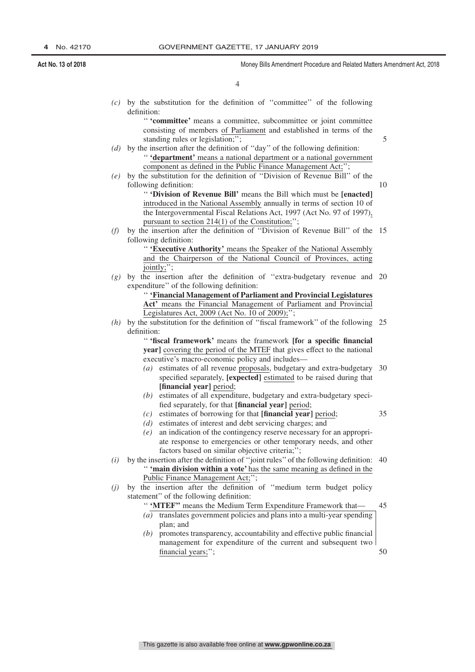5

10

4

*(c)* by the substitution for the definition of ''committee'' of the following definition:

> '' **'committee'** means a committee, subcommittee or joint committee consisting of members of Parliament and established in terms of the standing rules or legislation;'';

- *(d)* by the insertion after the definition of ''day'' of the following definition: '' **'department'** means a national department or a national government component as defined in the Public Finance Management Act;'';
- *(e)* by the substitution for the definition of ''Division of Revenue Bill'' of the following definition:

'' **'Division of Revenue Bill'** means the Bill which must be **[enacted]** introduced in the National Assembly annually in terms of section 10 of the Intergovernmental Fiscal Relations Act, 1997 (Act No. 97 of 1997), pursuant to section 214(1) of the Constitution;'';

*(f)* by the insertion after the definition of ''Division of Revenue Bill'' of the 15 following definition:

'' **'Executive Authority'** means the Speaker of the National Assembly and the Chairperson of the National Council of Provinces, acting jointly;'

*(g)* by the insertion after the definition of ''extra-budgetary revenue and 20 expenditure'' of the following definition:

> '' **'Financial Management of Parliament and Provincial Legislatures Act'** means the Financial Management of Parliament and Provincial Legislatures Act, 2009 (Act No. 10 of 2009);'';

*(h)* by the substitution for the definition of ''fiscal framework'' of the following 25 definition:

> '' **'fiscal framework'** means the framework **[fo**r **a specific financial year]** covering the period of the MTEF that gives effect to the national executive's macro-economic policy and includes—

- *(a)* estimates of all revenue proposals, budgetary and extra-budgetary 30 specified separately, **[expected]** estimated to be raised during that **[financial year]** period;
- *(b)* estimates of all expenditure, budgetary and extra-budgetary specified separately, for that **[financial year]** period;
	- 35
- *(c)* estimates of borrowing for that **[financial year]** period; *(d)* estimates of interest and debt servicing charges; and
- *(e)* an indication of the contingency reserve necessary for an appropriate response to emergencies or other temporary needs, and other factors based on similar objective criteria;";
- *(i)* by the insertion after the definition of ''joint rules'' of the following definition: 40 '' **'main division within a vote'** has the same meaning as defined in the Public Finance Management Act;'';
- *(j)* by the insertion after the definition of ''medium term budget policy statement'' of the following definition:
	- '' **'MTEF''** means the Medium Term Expenditure Framework that— 45
	- *(a)* translates government policies and plans into a multi-year spending plan; and
	- *(b)* promotes transparency, accountability and effective public financial management for expenditure of the current and subsequent two financial years;''; 50

This gazette is also available free online at **www.gpwonline.co.za**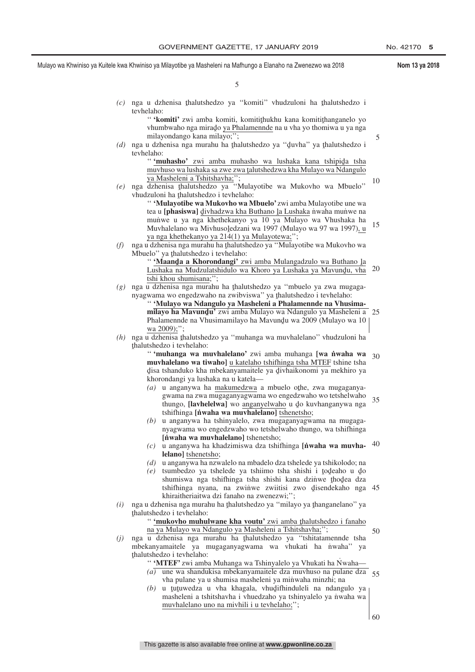5

15

Mulayo wa Khwiniso ya Kuitele kwa Khwiniso ya Milayotibe ya Masheleni na Mafhungo a Elanaho na Zwenezwo wa 2018 **Nom 13 ya 2018**

5

- (c) nga u dzhenisa <u>thalutshedzo</u> ya "komiti" vhudzuloni ha thalutshedzo i<br>tavhelaho: tevhelaho:
	- " **'komiti'** zwi amba komiti, komitithukhu kana komitithanganelo yo<br>yhumbwaho nga mirado ya Phalamennde na u yha yo thomiwa u ya nga vhumbwaho nga mirado <u>ya Phalamennde</u> na u vha yo thomiwa u ya nga<br>milayondango kana milayo:" milayondango kana milayo;'';
- (d) nga u dzhenisa nga murahu ha thalutshedzo ya "duvha" ya thalutshedzo i<br>teyhelaho: tevhelaho:

" **'muhasho'** zwi amba muhasho wa lushaka kana tshipida tsha<br>muyhuso wa lushaka sa zwe zwa talutshedzwa kha Mulayo wa Ndangulo muvhuso wa lushaka sa zwe zwa ţalutshedzwa kha Mulayo wa Ndangulo<br>va Masheleni a Tshitshayha:'': ya Masheleni a Tshitshavha;'

(e) nga dzhenisa thalutshedzo ya "Mulayotibe wa Mukovho wa Mbuelo"<br>vhudzuloni ha thalutshedzo i teyhelaho: vhudzuloni ha thalutshedzo i tevhelaho:<br>
"Wulayotibe wa Mukoybo wa N 10

'' **'Mulayotibe wa Mukovho wa Mbuelo'** zwi amba Mulayotibe une wa tea u [**phasiswa**] <u>divhadzwa kha Buthano la Lushaka</u> niwaha muniwe na<br>munwe ji wa nga khethekanyo wa 10 ya Mulayo wa Vhushaka ha ˆ mun˙ we u ya nga khethekanyo ya 10 ya Mulayo wa Vhushaka ha Muvhalelano wa Mivhusoledzani wa 1997 (Mulayo wa 97 wa 1997)<u>, u</u><br>va nga khethekanyo ya 214(1) ya Mulayotewa<sup>.</sup>" ya nga khethekanyo ya 214(1) ya Mulayotewa;'';

(f) nga u dzhenisa nga murahu ha <u>thalutshedzo ya "Mulayotibe wa Mukovho wa</u><br>Mbuelo<sup>"</sup> ya thalutshedzo i teyhelaho: Mbuelo" ya thalutshedzo i tevhelaho:<br>"Waanda a Khorondangi" zv

" **'Maanda a Khorondangi'** zwi amba Mulangadzulo wa Buthano la<br>Lushaka na Mudzulatshidulo wa Khoro ya Lushaka ya Mayundu, yha Lushaka na Mudzulatshidulo wa Khoro ya Lushaka ya Mavundu, vha<br>tshi khou shumisana:'' tshi khou shumisana;''; 20

(g) nga u dzhenisa nga murahu ha thalutshedzo ya "mbuelo ya zwa mugaga-<br>nyanyama wo engedzwaho na zwibyiswa" ya thalutshedzo i teyhelaho: nyagwama wo engedzwaho na zwibviswa" ya thalutshedzo i tevhelaho:<br>**"Wulayo wa Ndangulo ya Masheleni a Phalamennde na Vhus** 

'' **'Mulayo wa Ndangulo ya Masheleni a Phalamennde na Vhusimamilayo ha Mavundu'** zwi amba Mulayo wa Ndangulo ya Masheleni a 25<br>Phalamennde na Vhusimamilayo ha Mayundu wa 2009 (Mulayo wa 10 | Phalamennde na Vhusimamilayo ha Mavund̥u wa 2009 (Mulayo wa 10<br>wa 2009).'' wa 2009);";

(h) nga u dzhenisa thalutshedzo ya "muhanga wa muvhalelano" vhudzuloni ha<br>thalutshedzo i teyhelaho: ˆ thalutshedzo i tevhelaho:

'' **'muhanga wa muvhalelano'** zwi amba muhanga **[wa n˙ waha wa muvhalelano wa tiwaho]** u katelaho tshifhinga tsha MTEF tshine tsha disa tshanduko kha mbekanyamaitele ya divhaikonomi ya mekhiro ya<br>khorondangi ya lushaka na u katela ˆ khorondangi ya lushaka na u katela— 30

- $(a)$  u anganywa ha makumedzwa a mbuelo othe, zwa mugaganya-<br>wana na zwa mugaganyaowama wo engedzwaho wo tetshelwaho gwama na zwa mugaganyagwama wo engedzwaho wo tetshelwaho thungo, **[lavhelelwa]** wo <u>anganyelwaho</u> u do kuvhanganywa nga<br>tshifhinga **[pwaha wa muvhalelano]** tshenetsho: tshifhinga **[n˙ waha wa muvhalelano]** tshenetsho; 35
- *(b)* u anganywa ha tshinyalelo, zwa mugaganyagwama na mugaganyagwama wo engedzwaho wo tetshelwaho thungo, wa tshifhinga **[nvaha wa muvhalelano]** tshenetsho;
- *(c)* u anganywa ha khadzimiswa dza tshifhinga **[n˙ waha wa muvhalelano]** tshenetsho; 40
- *(d)* u anganywa ha nzwalelo na mbadelo dza tshelede ya tshikolodo; na
- $(e)$  tsumbedzo ya tshelede ya tshiimo tsha shishi i todeaho u do shumiswa nga tshifhinga tsha shishi kana dzinwe thodea dza<br>tshifhinga nyana na zwinwe zwijtisi zwo disendekaho nga tshifhinga nyana, na zwinwe zwiitisi zwo disendekaho nga 45<br>khiraitheriaitwa dzi fanaho na zwenezwi:" khiraitheriaitwa dzi fanaho na zwenezwi;'';
- *(i)* nga u dzhenisa nga murahu ha <u>t</u>halutshedzo ya "milayo ya thanganelano" ya thalutshedzo i teybelaho: ˆ thalutshedzo i tevhelaho:

" **'mukovho muhulwane kha voutu'** zwi amba thalutshedzo i fanaho<br>na ya Mulayo wa Ndangulo ya Masheleni a Tshitshayha:" na ya Mulayo wa Ndangulo ya Masheleni a Tshitshavha;'';

*(j)* nga u dzhenisa nga murahu ha thalutshedzo ya "tshitatamennde tsha<br>mbekanyamaitele ya mugaganyagwama wa yhukati ha nwaha" ya mbekanyamaitele ya mugaganyagwama wa vhukati ha niwaha" ya thalutshedzo i tevhelaho:<br> **COVERTE:** wi amb

" 'MTEF' zwi amba Muhanga wa Tshinyalelo ya Vhukati ha Nwaha-

- *(a)* une wa shandukisa mbekanyamaitele dza muvhuso na pulane dza 55 vha pulane ya u shumisa masheleni ya minwaha minzhi; na
- $(b)$  u tutuwedza u vha khagala, vhudifhinduleli na ndangulo ya masheleni a tshitshayha iyuhadzaho ya tshinyalelo ya nyaha wa masheleni a tshitshavha i vhuedzaho ya tshinyalelo ya nwaha wa muvhalelano uno na mivhili i u tevhelaho;'';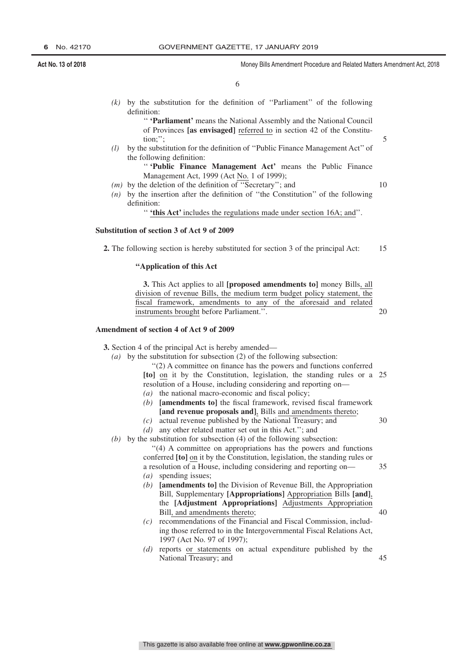5

10

20

35

40

6

*(k)* by the substitution for the definition of ''Parliament'' of the following definition:

> '' **'Parliament'** means the National Assembly and the National Council of Provinces **[as envisaged]** referred to in section 42 of the Constitution;'';

*(l)* by the substitution for the definition of ''Public Finance Management Act'' of the following definition:

> '' **'Public Finance Management Act'** means the Public Finance Management Act, 1999 (Act No. 1 of 1999);

- *(m)* by the deletion of the definition of ''Secretary''; and
- *(n)* by the insertion after the definition of ''the Constitution'' of the following definition:

'' **'this Act'** includes the regulations made under section 16A; and''.

#### **Substitution of section 3 of Act 9 of 2009**

**2.** The following section is hereby substituted for section 3 of the principal Act: 15

#### **''Application of this Act**

**3.** This Act applies to all **[proposed amendments to]** money Bills, all division of revenue Bills, the medium term budget policy statement, the fiscal framework, amendments to any of the aforesaid and related instruments brought before Parliament.''.

#### **Amendment of section 4 of Act 9 of 2009**

- **3.** Section 4 of the principal Act is hereby amended—
	- *(a)* by the substitution for subsection (2) of the following subsection:

''(2) A committee on finance has the powers and functions conferred **[to]** on it by the Constitution, legislation, the standing rules or a 25 resolution of a House, including considering and reporting on—

- *(a)* the national macro-economic and fiscal policy;
- *(b)* **[amendments to]** the fiscal framework, revised fiscal framework **[and revenue proposals and]**, Bills and amendments thereto;
- *(c)* actual revenue published by the National Treasury; and 30
- *(d)* any other related matter set out in this Act.''; and
- *(b)* by the substitution for subsection (4) of the following subsection:

''(4) A committee on appropriations has the powers and functions conferred **[to]** on it by the Constitution, legislation, the standing rules or a resolution of a House, including considering and reporting on— *(a)* spending issues;

- *(b)* **[amendments to]** the Division of Revenue Bill, the Appropriation Bill, Supplementary **[Appropriations]** Appropriation Bills **[and]**, the **[Adjustment Appropriations]** Adjustments Appropriation Bill, and amendments thereto;
- *(c)* recommendations of the Financial and Fiscal Commission, including those referred to in the Intergovernmental Fiscal Relations Act, 1997 (Act No. 97 of 1997);
- *(d)* reports or statements on actual expenditure published by the National Treasury; and 45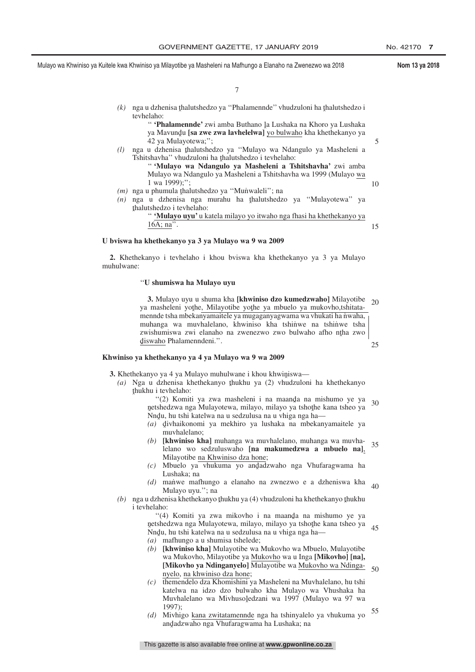5

10

7

- (k) nga u dzhenisa <u>thalutshedzo ya "Phalamennde</u>" vhudzuloni ha thalutshedzo i<br>teyhelaho: tevhelaho:
	- " **'Phalamennde'** zwi amba Buthano la Lushaka na Khoro ya Lushaka<br>ya Mayundu **[sa zwa zwa layhelelwa]** yo bulwaho kha khethekanyo ya ya Mavundu **[sa zwe zwa lavhelelwa]** <u>yo bulwaho</u> kha khethekanyo ya<br>42 ya Mulayotewa:" 42 ya Mulayotewa;'';
- (*l*) nga u dzhenisa thalutshedzo ya "Mulayo wa Ndangulo ya Masheleni a<br>Tshitshayba" yhudzuloni ha thalutshedzo i teyhelaho: Tshitshavha" vhudzuloni ha thalutshedzo i tevhelaho:<br>"Wulayo wa Ndangulo ya Masheleni a Te '' **'Mulayo wa Ndangulo ya Masheleni a Tshitshavha'** zwi amba Mulayo wa Ndangulo ya Masheleni a Tshitshavha wa 1999 (Mulayo wa
	- 1 wa 1999);"
- (*m*) nga u phumula thalutshedzo ya "Munwaleli"; na<br>(*n*) nga u dzhenisa nga murahu ha thalutshedz
- (n) nga u dzhenisa nga murahu ha <u>thalutshedzo ya "Mulayotewa</u>" ya thalutshedzo iteyhelaho: ˆ thalutshedzo i tevhelaho:

'' **'Mulayo uyu'** u katela milayo yo itwaho nga fhasi ha khethekanyo ya  $16A$ ; na". 15

#### **U bviswa ha khethekanyo ya 3 ya Mulayo wa 9 wa 2009**

**2.** Khethekanyo i tevhelaho i khou bviswa kha khethekanyo ya 3 ya Mulayo muhulwane:

#### ''**U shumiswa ha Mulayo uyu**

**3.** Mulayo uyu u shuma kha **[khwiniso dzo kumedzwaho]** Milayotibe ya masheleni yothe, Milayotibe yothe ya mbuelo ya mukovho,tshitata-<br>mennde tsha mbekanyamaitele ya mugaganyagwama wa yhukati ha nyaha mennde tsha mbekanyamaitele ya mugaganyagwama wa vhukati ha nwaha, muhanga wa muvhalelano, khwiniso kha tshinwe na tshinwe tsha zwishumiswa zwi elanaho na zwenezwo zwo bulwaho afho nţha zwo<br>diswaho Phalamenndeni '' d ˆ iswaho Phalamenndeni.''.  $20$ 25

#### **Khwiniso ya khethekanyo ya 4 ya Mulayo wa 9 wa 2009**

- **3.** Khethekanyo ya 4 ya Mulayo muhulwane i khou khwiniswa—<br>(a) Nga u dzhenisa khethekanyo thukhu ya (2) yhudzulon
	- (a) Nga u dzhenisa khethekanyo <u>thukhu ya</u> (2) vhudzuloni ha khethekanyo thukhu itayhelaho:  $thukhu$  i tevhelaho:<br>"(2) Komit
		- "(2) Komiti ya zwa masheleni i na maanda na mishumo ye ya<br>tshedzwa nga Mulayotewa milayo milayo ya tshothe kana tsheo ya netshedzwa nga Mulayotewa, milayo, milayo ya tshothe kana tsheo ya<br>Nndu, bu tshi katelwa na u sedzulusa na u yhiga nga ha xestreaziwa nga treata, ona u sedzulusa na u vhiga nga ha-<br> $(n)$  divhaikonomi va mekhiro va lushaka na mbekan 30
		- *(a)* d ivhaikonomi ya mekhiro ya lushaka na mbekanyamaitele ya ˆ muvhalelano;
		- *(b)* **[khwiniso kha]** muhanga wa muvhalelano, muhanga wa muvhalelano wo sedzuluswaho **[na makumedzwa a mbuelo na]**, Milayotibe na Khwiniso dza hone; 35
		- (c) Mbuelo ya vhukuma yo andadzwaho nga Vhufaragwama ha Lushaka; na
		- *(d)* man˙ we mafhungo a elanaho na zwnezwo e a dzheniswa kha Mulayo uyu.''; na  $40$
	- (b) nga u dzhenisa khethekanyo thukhu ya (4) vhudzuloni ha khethekanyo thukhu<br>i teyhelaho: i tevhelaho:
		- "(4) Komiti ya zwa mikovho i na maanda na mishumo ye ya<br>tshedzwa nga Mulayotewa milayo milayo ya tshothe kana tsheo ya netshedzwa nga Mulayotewa, milayo, milayo ya tshothe kana tsheo ya<br>Nadu, bu tshi katelwa na u sedzulusa na u yhiga nga ha— <sub>Nessa</sub> katelwa na usedzulusa na u vhiga nga ha—<br>Nndu, hu tshi katelwa na u sedzulusa na u vhiga nga ha— *(a)* mafhungo a u shumisa tshelede; 45
		- *(b)* **[khwiniso kha]** Mulayotibe wa Mukovho wa Mbuelo, Mulayotibe wa Mukovho, Milayotibe ya Mukovho wa u Inga **[Mikovho] [na],** [Mikovho ya Ndinganyelo] Mulayotibe wa <u>Mukovho wa Ndinga-</u> 50 nyelo, na khwiniso dza hone;
		- *(c)* themendelo dza Khomishini ya Masheleni na Muvhalelano, hu tshi katelwa na idzo dzo bulwaho kha Mulayo wa Vhushaka ha Muvhalelano wa MivhusoĮedzani wa 1997 (Mulayo wa 97 wa<br>1997) 1997);
		- *(d)* Mivhigo kana zwitatamennde nga ha tshinyalelo ya vhukuma yo andˆ adzwaho nga Vhufaragwama ha Lushaka; na 55

This gazette is also available free online at **www.gpwonline.co.za**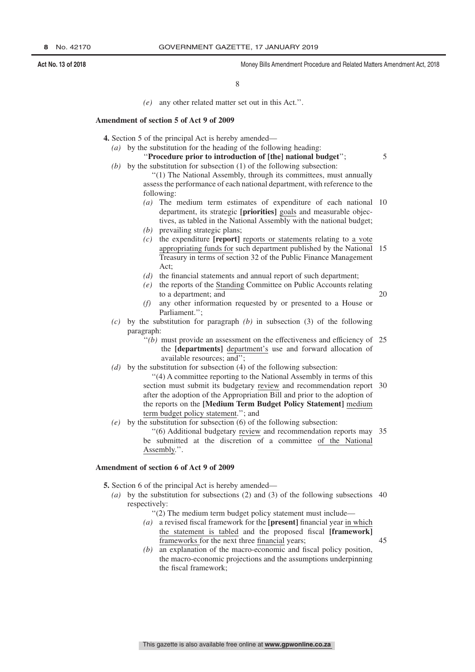5

20

8

*(e)* any other related matter set out in this Act.''.

#### **Amendment of section 5 of Act 9 of 2009**

- **4.** Section 5 of the principal Act is hereby amended—
	- *(a)* by the substitution for the heading of the following heading:

## ''**Procedure prior to introduction of [the] national budget**'';

- *(b)* by the substitution for subsection (1) of the following subsection: ''(1) The National Assembly, through its committees, must annually assess the performance of each national department, with reference to the
	- following:
	- *(a)* The medium term estimates of expenditure of each national 10 department, its strategic **[priorities]** goals and measurable objectives, as tabled in the National Assembly with the national budget;
	- *(b)* prevailing strategic plans;
	- *(c)* the expenditure **[report]** reports or statements relating to a vote appropriating funds for such department published by the National 15 Treasury in terms of section 32 of the Public Finance Management Act;
	- *(d)* the financial statements and annual report of such department;
	- *(e)* the reports of the Standing Committee on Public Accounts relating to a department; and
	- *(f)* any other information requested by or presented to a House or Parliament.'';
- *(c)* by the substitution for paragraph *(b)* in subsection (3) of the following paragraph:
	- "(b) must provide an assessment on the effectiveness and efficiency of 25<sup>th</sup> the **[departments]** department's use and forward allocation of available resources; and'';
- *(d)* by the substitution for subsection (4) of the following subsection:
	- ''(4) A committee reporting to the National Assembly in terms of this section must submit its budgetary review and recommendation report 30 after the adoption of the Appropriation Bill and prior to the adoption of the reports on the **[Medium Term Budget Policy Statement]** medium term budget policy statement.''; and
- *(e)* by the substitution for subsection (6) of the following subsection:

''(6) Additional budgetary review and recommendation reports may 35 be submitted at the discretion of a committee of the National Assembly.''.

#### **Amendment of section 6 of Act 9 of 2009**

**5.** Section 6 of the principal Act is hereby amended—

- *(a)* by the substitution for subsections (2) and (3) of the following subsections 40 respectively:
	- ''(2) The medium term budget policy statement must include—
	- *(a)* a revised fiscal framework for the **[present]** financial year in which the statement is tabled and the proposed fiscal **[framework]** frameworks for the next three financial years;
	- *(b)* an explanation of the macro-economic and fiscal policy position, the macro-economic projections and the assumptions underpinning the fiscal framework;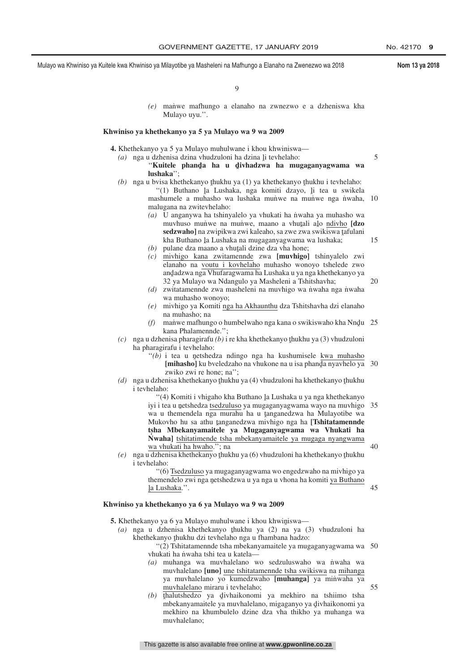5

15

20

45

55

Mulayo wa Khwiniso ya Kuitele kwa Khwiniso ya Milayotibe ya Masheleni na Mafhungo a Elanaho na Zwenezwo wa 2018 **Nom 13 ya 2018**

 $\Omega$ 

*(e)* man˙ we mafhungo a elanaho na zwnezwo e a dzheniswa kha Mulayo uyu.''.

#### **Khwiniso ya khethekanyo ya 5 ya Mulayo wa 9 wa 2009**

**4.** Khethekanyo ya 5 ya Mulayo muhulwane i khou khwiniswa—

- *(a)* nga u dzhenisa dzina vhudzuloni ha dzina li tevhelaho:<br>"Kuitele sphandas ha u divhadzwa ha mu "Kuitele phanda ha u divhadzwa ha mugaganyagwama wa<br>Iushaka'' **lushaka**'';
- (b) nga u bvisa khethekanyo thukhu ya (1) ya khethekanyo thukhu i tevhelaho:<br>
"(1) Buthano da Lushaka, nga komiti dzavo, li tea u swikel "(1) Buthano la Lushaka, nga komiti dzayo, li tea u swikela<br>sebumele a muhasho wa lushaka munwe na munwe nga nwaha mashumele a muhasho wa lushaka muniwe na muniwe nga nwaha, 10 malugana na zwitevhelaho:
	- *(a)* U anganywa ha tshinyalelo ya vhukati ha n˙ waha ya muhasho wa muvhuso muñwe na mun̄we, maano a vhutali alo n<u>divho</u> [**dzo**]<br>sedzwahol na zwinikwa zwi kaleaho sa zwe zwa swikiswa tafulani **sedzwaho]** na zwipikwa zwi kaleaho, sa zwe zwa swikiswa tafulani<br>kha Buthano la Lushaka na mugaganyagwama wa lushaka: kha Buthano la Lushaka na mugaganyagwama wa lushaka;<br>pulane dza maano a vhutali dzine dza yba bone:
	- $h(b)$  pulane dza maano a vhuţali dzine dza vha hone;<br> $h(c)$  miybigo, kana, zwitamennde, zwa, **[muybigo]** *(c)* mivhigo kana zwitamennde zwa **[muvhigo]** tshinyalelo zwi elanaho na voutu i kovhelaho muhasho wonoyo tshelede zwo andadzwa nga Vhufaragwama ha Lushaka u ya nga khethekanyo ya<br>32 ya Mulayo wa Ndangulo ya Masheleni a Tshitshayha: 32 ya Mulayo wa Ndangulo ya Masheleni a Tshitshavha;
	- *(d)* zwitatamennde zwa masheleni na muvhigo wa nwaha nga nwaha wa muhasho wonoyo;
	- *(e)* mivhigo ya Komiti nga ha Akhaunthu dza Tshitshavha dzi elanaho na muhasho; na
	- (f) man'we mafhungo o humbelwaho nga kana o swikiswaho kha Nndu 25<br>kana Phalamennde " kana Phalamennde.'';
- $(c)$  nga u dzhenisa pharagirafu  $(b)$  i re kha khethekanyo thukhu ya (3) vhudzuloni<br>ha pharagirafu i teyhelaho: ha pharagirafu i tevhelaho:
	- "(b) i tea u netshedza ndingo nga ha kushumisele <u>kwa muhasho</u><br>Imihasho ku hyeledzaho na yhukone na u isa phanda nyayhelo ya [**mihasho**] ku bveledzaho na vhukone na u isa phanda nyavhelo ya 30<br>zwiko zwi re bone: na'' zwiko zwi re hone; na'';
- (d) nga u dzhenisa khethekanyo ţhukhu ya (4) vhudzuloni ha khethekanyo ţhukhu<br>i teyhelaho: i tevhelaho:

"(4) Komiti i vhigaho kha Buthano la Lushaka u ya nga khethekanyo iyi i tea u netshedza tsedzuluso ya mugaganyagwama wayo na muvhigo 35<br>wa u themendela nga murabu ha u tanganedzwa ha Mulayotibe wa wa u themendela nga murahu ha u tanganedzwa ha Mulayotibe wa<br>Mukoybo bu sa athu tanganedzwa miyhigo nga ha **Tshitatamennde** Mukovho hu sa athu <u>t</u>anganedzwa mivhigo nga ha [**Tshitatamennde**<br>tsha Mhekanyamaitele ya Mugaganyagwama wa Vhukati ha **tsha Mbekanyamaitele ya Mugaganyagwama wa Vhukati ha N˙ waha]** tshitatimende tsha mbekanyamaitele ya mugaga nyangwama wa vhukati ha hwaho.''; na 40

(e) nga u dzhenisa khethekanyo <u>t</u>hukhu ya (6) vhudzuloni ha khethekanyo thukhu<br>i teyhelaho: i tevhelaho:

> ''(6) Tsedzuluso ya mugaganyagwama wo engedzwaho na mivhigo ya themendelo zwi nga netshedzwa u ya nga u vhona ha komiti <u>ya Buthano</u><br>la Lushaka " <u>la Lushaka</u>.''.

### **Khwiniso ya khethekanyo ya 6 ya Mulayo wa 9 wa 2009**

- **5.** Khethekanyo ya 6 ya Mulayo muhulwane i khou khwiniswa— $(a)$ , ng ya dzhenisa, khethekanyo, thukhu ya  $(2)$ , ng ya d
	- (a) nga u dzhenisa khethekanyo thukhu ya  $(2)$  na ya  $(3)$  vhudzuloni ha<br>khethekanyo thukhu dzi tevhelaho nga u fhambana hadzo: khethekanyo thukhu dzi tevhelaho nga u fhambana hadzo:<br>"(2) Tshitatamennde tsha mbekanyamaitele ya muo

''(2) Tshitatamennde tsha mbekanyamaitele ya mugaganyagwama wa 50 vhukati ha nwaha tshi tea u katela-

- *(a)* muhanga wa muvhalelano wo sedzuluswaho wa n˙ waha wa muvhalelano **[uno]** une tshitatamennde tsha swikiswa na mihanga ya muvhalelano yo kumedzwaho [muhanga] ya minwaha ya muvhalelano miraru i tevhelaho;
- $(b)$  thalutshedzo ya divhaikonomi ya mekhiro na tshiimo tsha<br>mbekanyamaitele ya muyhalelano migaganyo ya divhaikonomi ya mbekanyamaitele ya muvhalelano, migaganyo ya divhaikonomi ya<br>mekhiro na khumbulelo dzine dza yha thikbo ya muhanga wa mekhiro na khumbulelo dzine dza vha thikho ya muhanga wa muvhalelano;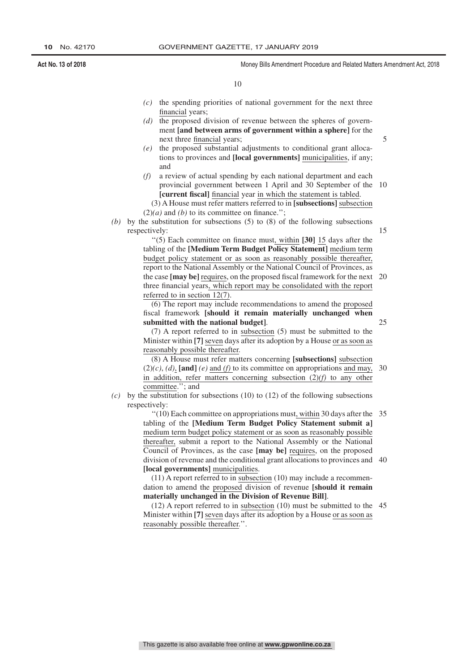10

- *(c)* the spending priorities of national government for the next three financial years;
- *(d)* the proposed division of revenue between the spheres of government **[and between arms of government within a sphere]** for the next three financial years;
- *(e)* the proposed substantial adjustments to conditional grant allocations to provinces and **[local governments]** municipalities, if any; and
- *(f)* a review of actual spending by each national department and each provincial government between 1 April and 30 September of the 10 **[current fiscal]** financial year in which the statement is tabled.

*(b)* by the substitution for subsections (5) to (8) of the following subsections respectively:

> ''(5) Each committee on finance must, within **[30]** 15 days after the tabling of the **[Medium Term Budget Policy Statement]** medium term budget policy statement or as soon as reasonably possible thereafter, report to the National Assembly or the National Council of Provinces, as the case **[may be]** requires, on the proposed fiscal framework for the next three financial years, which report may be consolidated with the report referred to in section 12(7). 20

(6) The report may include recommendations to amend the proposed fiscal framework **[should it remain materially unchanged when submitted with the national budget]**.

(7) A report referred to in subsection (5) must be submitted to the Minister within **[7]** seven days after its adoption by a House or as soon as reasonably possible thereafter.

(8) A House must refer matters concerning **[subsections]** subsection (2)*(c)*, *(d)*, **[and]** *(e)* and *(f)* to its committee on appropriations and may, in addition, refer matters concerning subsection (2)*(f)* to any other committee.''; and 30

*(c)* by the substitution for subsections (10) to (12) of the following subsections respectively:

> ''(10) Each committee on appropriations must, within 30 days after the 35 tabling of the **[Medium Term Budget Policy Statement submit a]** medium term budget policy statement or as soon as reasonably possible thereafter, submit a report to the National Assembly or the National Council of Provinces, as the case **[may be]** requires, on the proposed division of revenue and the conditional grant allocations to provinces and 40 **[local governments]** municipalities.

(11) A report referred to in subsection (10) may include a recommendation to amend the proposed division of revenue **[should it remain materially unchanged in the Division of Revenue Bill]**.

(12) A report referred to in subsection (10) must be submitted to the 45Minister within **[7]** seven days after its adoption by a House or as soon as reasonably possible thereafter.''.

15

25

<sup>(3)</sup> A House must refer matters referred to in **[subsections]** subsection  $(2)(a)$  and *(b)* to its committee on finance.";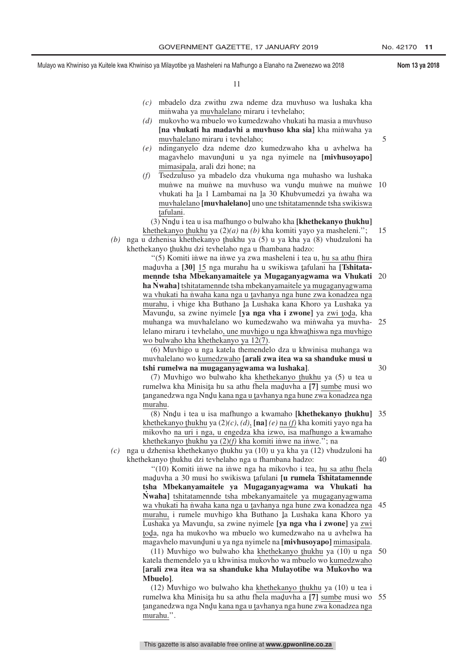5

30

11

- *(c)* mbadelo dza zwithu zwa ndeme dza muvhuso wa lushaka kha minwaha ya muvhalelano miraru i tevhelaho;
- *(d)* mukovho wa mbuelo wo kumedzwaho vhukati ha masia a muvhuso **[na vhukati ha madavhi a muvhuso kha sia]** kha minwaha ya muvhalelano miraru i tevhelaho;
- *(e)* ndinganyelo dza ndeme dzo kumedzwaho kha u avhelwa ha magavhelo mavunduni u ya nga nyimele na **[mivhusoyapo]**<br>mimasinala arali dzi bone: na mimasipala, arali dzi hone; na
- *(f)* Tsedzuluso ya mbadelo dza vhukuma nga muhasho wa lushaka munve na munve na muvhuso wa vundu munve na munve<br>vhukati ha la 1 Lambamai na la 30 Khubyumedzi va nyeha wa vhukati ha la 1 Lambamai na la 30 Khubvumedzi ya nwaha wa<br>muvhalelano **[muvhalelano]** uno une tshitatamennde tsha swikiswa muvhalelano **[muvhalelano]** uno une tshitatamennde tsha swikiswa tafulani. 10

(3) Nndu i tea u isa mafhungo o bulwaho kha **[khethekanyo thukhu]**<br>ethekanyo thukhu ya (2)(a) na (b) kha komiti yayo ya masheleni "

khethekanyo thukhu ya  $(2)(a)$  na  $(b)$  kha komiti yayo ya masheleni.'';<br>takenisa khethekanyo thukhu ya  $(5)$  u ya kha ya  $(8)$  yhudzuloni. *(b)* nga u dzhenisa khethekanyo thukhu ya (5) u ya kha ya (8) vhudzuloni ha<br>khethekanyo thukhu dzi tayhelaho nga u fhambana hadzo: khethekanyo thukhu dzi tevhelaho nga u fhambana hadzo:<br>"(5) Komiti inwe na inwe ya zwa masheleni i tea 15

"(5) Komiti inwe na inwe ya zwa masheleni i tea u, hu sa athu fhira maduvha a **[30]** 15 nga murahu ha u swikiswa tafulani ha **[Tshitata-**<br>mannda tsha Mbakanyamaitala ya Mugaganyanyawa wa Vhukati **mennde tsha Mbekanyamaitele ya Mugaganyagwama wa Vhukati** 20 **ha N˙ waha]** tshitatamennde tsha mbekanyamaitele ya mugaganyagwama wa vhukati ha n˙waha kana nga u tavhanya nga hune zwa konadzea nga<br>murahu ji yhige kha Buthano la Lushaka kana Khoro ya Lushaka ya murahu, i vhige kha Buthano la Lushaka kana Khoro ya Lushaka ya<br>Mayundu, sa zwine nyimele **Lua nga yha i zwonel** ya zwi toda, kha Mavundu, sa zwine nyimele **[ya nga vha i zwone]** ya <u>zwi tod</u>a, kha<br>muhanga wa muyhalelano wo kumedzwaho wa minyaha ya muyha muhanga wa muvhalelano wo kumedzwaho wa minwaha ya muvhalelano miraru i tevhelaho<u>, une muvhigo u nga khwathiswa nga muvhigo</u><br>wo hulwabo kha khathakanyo ya 12(7) wo bulwaho kha khethekanyo ya 12(7). 25

(6) Muvhigo u nga katela themendelo dza u khwinisa muhanga wa muvhalelano wo kumedzwaho **[arali zwa itea wa sa shanduke musi u tshi rumelwa na mugaganyagwama wa lushaka]**.

(7) Muvhigo wo bulwaho kha khethekanyo thukhu ya (5) u tea u<br>malwa kha Minisita hu sa athu fhala maduyha a  $\overline{171}$  sumbe musi wo rumelwa kha Minisita hu sa athu fhela maduvha a [7] <u>sumbe</u> musi wo<br>tanganedzwa nga Nudu kana nga u taybanya nga huna zwa konadzea nga ˆ murahu. tanganedzwa nga Nnd̥u <u>kana nga u t</u>avhanya nga hune zwa konadzea nga<br>murahu

(8) Nndu i tea u isa mafhungo a kwamaho **[khethekanyo thukhu]** 35<br>ethekanyo thukhu va (2)(c) (d) **[na]** (e) na (f) kha komiti yayo nga ha khethekanyo <u>thukhu</u> ya  $(2)(c)$ ,  $(d)$ ,  $[\text{na}](e)$  na  $(f)$  kha komiti yayo nga ha<br>mikoybo na uri i nga u angadza kha izuvo isa mafhungo a kwamaho mikovho na uri i nga, u engedza kha izwo, isa mafhungo a kwamaho khethekanyo thukhu ya  $(2)(f)$  kha komiti inwe na inwe."; na izakhetanyo thukhu ya  $(10)$  u ya kha ya  $(12)$  yhu

 $(c)$  nga u dzhenisa khethekanyo thukhu ya  $(10)$  u ya kha ya  $(12)$  vhudzuloni ha<br>khathekanyo thukhu dzi tayhelaho nga u fhambana hadzo: khethekanyo thukhu dzi tevhelaho nga u fhambana hadzo:<br>" $(10)$  Komiti jinye ng jinye nga ha mikoyho i tea 40

"(10) Komiti inwe na inwe nga ha mikovho i tea, hu sa athu fhela maduvha a 30 musi ho swikiswa tafulani **[u rumela Tshitatamennde**<br>tsha **Mhekanyamaitele**, ya Mugaganyagwama, wa Vhukati, ha **tsha Mbekanyamaitele ya Mugaganyagwama wa Vhukati ha N˙ waha]** tshitatamennde tsha mbekanyamaitele ya mugaganyagwama wa vhukati ha niwaha kana nga u tavhanya nga hune zwa konadzea nga<br>murahu ji rumala muyhigo kha Buthano la Lushaka kana Khoro ya murahu, i rumele muvhigo kha Buthano la Lushaka kana Khoro ya<br>Lushaka ya Mayundu, sa zwine nyimele **kao nga yha i zwonel** ya zwi Lushaka ya Mavundu, sa zwine nyimele **[ya nga vha i zwone]** ya zwine<br>toda .nga ha mukoybo wa mbuelo wo kumedzwaho na u ayhelwa ha ˆ magavhelo mavundˆ uni u ya nga nyimele na **[mivhusoyapo]** mimasipala. toda, nga ha mukovho wa mbuelo wo kumedzwaho na u avhelwa ha<br>magayhelo mayunduni u ya nga nyimele na I**miyhusovanol** mimasinala 45

 $(11)$  Muvhigo wo bulwaho kha khethekanyo thukhu ya  $(10)$  u nga 50 tela themendelo ya u khwinisa mukoybo wa mbuelo wo kumedzwaho katela themendelo ya u khwinisa mukovho wa mbuelo wo kumedzwaho **[arali zwa itea wa sa shanduke kha Mulayotibe wa Mukovho wa Mbuelo]**.

 $(12)$  Muvhigo wo bulwaho kha khethekanyo thukhu ya  $(10)$  u tea i rumelwa kha Minisita hu sa athu fhela maduvha a [7] <u>sumbe</u> musi wo 55<br>tanganedzwa nga Nndu kana nga u taybanya nga hune zwa konadzea nga ˆ murahu.''. tanganedzwa nga Nnd̥u <u>kana nga u t</u>avhanya nga hune zwa konadzea nga<br>murabu ''

This gazette is also available free online at **www.gpwonline.co.za**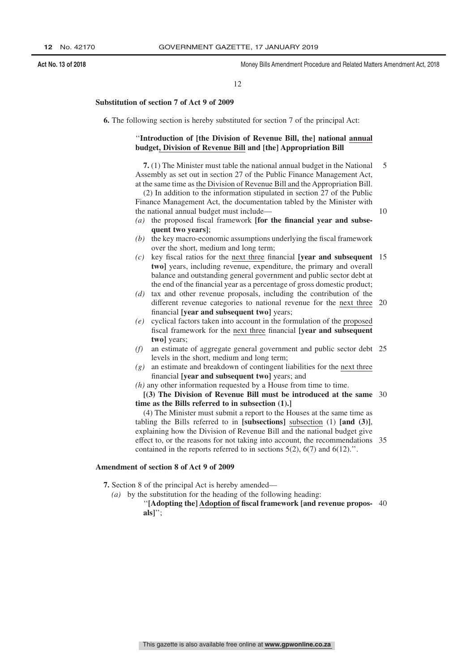10

#### 12

#### **Substitution of section 7 of Act 9 of 2009**

**6.** The following section is hereby substituted for section 7 of the principal Act:

#### ''**Introduction of [the Division of Revenue Bill, the] national annual budget, Division of Revenue Bill and [the] Appropriation Bill**

**7.** (1) The Minister must table the national annual budget in the National Assembly as set out in section 27 of the Public Finance Management Act, at the same time as the Division of Revenue Bill and the Appropriation Bill. 5

(2) In addition to the information stipulated in section 27 of the Public Finance Management Act, the documentation tabled by the Minister with the national annual budget must include—

*(a)* the proposed fiscal framework **[for the financial year and subsequent two years]**;

- *(b)* the key macro-economic assumptions underlying the fiscal framework over the short, medium and long term;
- *(c)* key fiscal ratios for the next three financial **[year and subsequent** 15 **two]** years, including revenue, expenditure, the primary and overall balance and outstanding general government and public sector debt at the end of the financial year as a percentage of gross domestic product;
- *(d)* tax and other revenue proposals, including the contribution of the different revenue categories to national revenue for the next three 20 financial **[year and subsequent two]** years;
- *(e)* cyclical factors taken into account in the formulation of the proposed fiscal framework for the next three financial **[year and subsequent two]** years;
- *(f)* an estimate of aggregate general government and public sector debt 25 levels in the short, medium and long term;
- *(g)* an estimate and breakdown of contingent liabilities for the next three financial **[year and subsequent two]** years; and
- *(h)* any other information requested by a House from time to time.

**[(3) The Division of Revenue Bill must be introduced at the same** 30 **time as the Bills referred to in subsection (1).]**

(4) The Minister must submit a report to the Houses at the same time as tabling the Bills referred to in **[subsections]** subsection (1) **[and (3)]**, explaining how the Division of Revenue Bill and the national budget give effect to, or the reasons for not taking into account, the recommendations 35 contained in the reports referred to in sections  $5(2)$ ,  $6(7)$  and  $6(12)$ .".

### **Amendment of section 8 of Act 9 of 2009**

**7.** Section 8 of the principal Act is hereby amended—

- *(a)* by the substitution for the heading of the following heading:
	- ''**[Adopting the] Adoption of fiscal framework [and revenue propos-**40**als]**'';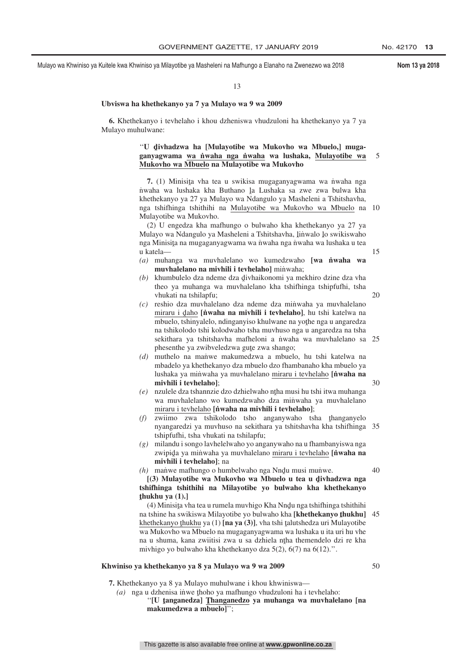#### 13

#### **Ubviswa ha khethekanyo ya 7 ya Mulayo wa 9 wa 2009**

**6.** Khethekanyo i tevhelaho i khou dzheniswa vhudzuloni ha khethekanyo ya 7 ya Mulayo muhulwane:

#### "**U** divhadzwa ha [Mulayotibe wa Mukovho wa Mbuelo,] muga-<br>ganyagwama wa nyeha nga nyeha wa lushaka Mulayotibe wa **ganyagwama wa n˙ waha nga n˙ waha wa lushaka, Mulayotibe wa Mukovho wa Mbuelo na Mulayotibe wa Mukovho** 5

**7.** (1) Minisita vha tea u swikisa mugaganyagwama wa nuaha nga<br>kaba wa lushaka kha Buthano la Lushaka sa zwe zwa bulwa kha nwaha wa lushaka kha Buthano la Lushaka sa zwe zwa bulwa kha<br>khathakanyo ya 27 va Mulayo wa Ndangulo ya Mashalani a Tshitshayha khethekanyo ya 27 ya Mulayo wa Ndangulo ya Masheleni a Tshitshavha, nga tshifhinga tshithihi na Mulayotibe wa Mukovho wa Mbuelo na 10 Mulayotibe wa Mukovho.

(2) U engedza kha mafhungo o bulwaho kha khethekanyo ya 27 ya Mulayo wa Ndangulo ya Masheleni a Tshitshavha, Iinwalo Io swikiswaho<br>nga Minisita na mugaganyagwama wa nyeha nga nyeha wa lushaka u taa nga Minisita na mugaganyagwama wa nwaha nga nwaha wa lushaka u tea<br>u katala u katela—

- *(a)* muhanga wa muvhalelano wo kumedzwaho **[wa n˙ waha wa muvhalelano na mivhili i tevhelahol** minwaha:
- *(b)* khumbulelo dza ndeme dza divhaikonomi ya mekhiro dzine dza vha<br>theo ya muhanga wa muyhalelano kha tehithinga tehinfufhi, teha theo ya muhanga wa muvhalelano kha tshifhinga tshipfufhi, tsha vhukati na tshilapfu;
- *(c)* reshio dza muvhalelano dza ndeme dza min˙ waha ya muvhalelano miraru i daho **[nvaha na mivhili i tevhelaho]**, hu tshi katelwa na<br>mbuglo tshinyalelo ndinganyiso khulwane na yothe nga u angaredza mbuelo, tshinyalelo, ndinganyiso khulwane na yothe nga u angaredza<br>na tshikolodo tshi kolodwaho tsha muyhuso nga u angaredza na tsha na tshikolodo tshi kolodwaho tsha muvhuso nga u angaredza na tsha sekithara ya tshitshavha mafheloni a nwaha wa muvhalelano sa 25 phesenthe ya zwibveledzwa gute zwa shango;<br>muthelo, na manwe, makumedzwa, a mbuel
- *(d)* muthelo na manwe makumedzwa a mbuelo, hu tshi katelwa na mbadelo ya khethekanyo dza mbuelo dzo fhambanaho kha mbuelo ya lushaka ya min˙ waha ya muvhalelano miraru i tevhelaho **[n˙ waha na mivhili i tevhelaho]**;
- *(e)* nzulele dza tshannzie dzo dzhielwaho ntha musi hu tshi itwa muhanga<br>wa musikalalano wo kumedzwaho dza minyaha ya mushalalano wa muvhalelano wo kumedzwaho dza minwaha ya muvhalelano miraru i tevhelaho **[n˙ waha na mivhili i tevhelaho]**;
- *(f)* zwiimo zwa tshikolodo tsho anganywaho tsha thanganyelo<br>
nyangaredzi ya muyhuo na sekithara ya tshitshayba kha tshifhinga nyangaredzi ya muvhuso na sekithara ya tshitshavha kha tshifhinga 35 tshipfufhi, tsha vhukati na tshilapfu;
- *(g)* milandu i songo lavhelelwaho yo anganywaho na u fhambanyiswa nga zwipida ya minwaha ya muvhalelano <u>miraru i tevhelaho</u> [**n˙waha na**<br>miyhili i teyhelahol: na **mivhili i tevhelaho]**; na

40

15

20

 $30$ 

 $(h)$  man̆we mafhungo o humbelwaho nga Nnd̥u musi muňwe. [(3) Mulayotibe wa Mukovho wa Mbuelo u tea u divhadzwa nga<br>**iifhinga tshithihi na Milayotibe ya hulwabo** kha khathekanyo **tshifhinga tshithihi na Milayotibe yo bulwaho kha khethekanyo ˆ thukhu ya (1).]**

(4) Minisita vha tea u rumela muvhigo Kha Nndu nga tshifhinga tshithihi<br>tshina ha swikiswa Milayotiba ya hulwaba kha Ikhathakanya thukhul na tshine ha swikiswa Milayotibe yo bulwaho kha **[khethekanyo thukhu]** 45<br>khethekanyo thukhu ya (1) **[na ya (3)**], yha tshi talutshedza uri Mulayotibe  $\frac{khethekanyo fhuku ya (1) [na ya (3)],$  vha tshi <u>talutshedza uri Mulayotibe</u><br>wa Mukoybo wa Mbuelo na mugaganyagwama wa lushaka u ita uri bu yhe wa Mukovho wa Mbuelo na mugaganyagwama wa lushaka u ita uri hu vhe na u shuma, kana zwiitisi zwa u sa dzhiela ntha themendelo dzi re kha<br>miyhigo vo bulwaho kha khathakanyo dza 5(2), 6(7) na 6(12)." mivhigo yo bulwaho kha khethekanyo dza 5(2), 6(7) na 6(12).''.

#### **Khwiniso ya khethekanyo ya 8 ya Mulayo wa 9 wa 2009**

50

**7.** Khethekanyo ya 8 ya Mulayo muhulwane i khou khwiniswa—

*(a)* nga u dzhenisa inwe thoho ya mafhungo vhudzuloni ha i tevhelaho:<br>**"II tanganedzal Thanganedzo ya muhanga wa muvhale** 

"[U **tanganedza]** Thanganedzo ya muhanga wa muvhalelano [na<br>makumedzwa a mbuelol": **makumedzwa a mbuelo]**'';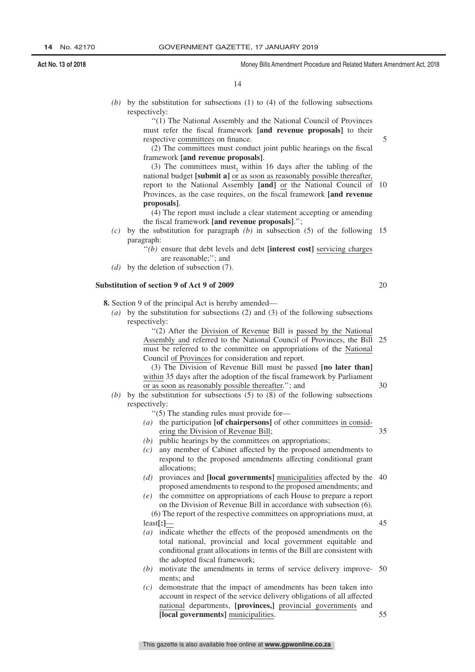14

*(b)* by the substitution for subsections (1) to (4) of the following subsections respectively:

> ''(1) The National Assembly and the National Council of Provinces must refer the fiscal framework **[and revenue proposals]** to their respective committees on finance.

> (2) The committees must conduct joint public hearings on the fiscal framework **[and revenue proposals]**.

(3) The committees must, within 16 days after the tabling of the national budget **[submit a]** or as soon as reasonably possible thereafter, report to the National Assembly **[and]** or the National Council of Provinces, as the case requires, on the fiscal framework **[and revenue proposals]**. 10

(4) The report must include a clear statement accepting or amending the fiscal framework **[and revenue proposals]**.'';

*(c)* by the substitution for paragraph *(b)* in subsection (5) of the following 15 paragraph:

> ''*(b)* ensure that debt levels and debt **[interest cost]** servicing charges are reasonable;''; and

*(d)* by the deletion of subsection (7).

#### **Substitution of section 9 of Act 9 of 2009**

**8.** Section 9 of the principal Act is hereby amended—

*(a)* by the substitution for subsections (2) and (3) of the following subsections respectively:

> ''(2) After the Division of Revenue Bill is passed by the National Assembly and referred to the National Council of Provinces, the Bill must be referred to the committee on appropriations of the National Council of Provinces for consideration and report. 25

(3) The Division of Revenue Bill must be passed **[no later than]** within 35 days after the adoption of the fiscal framework by Parliament or as soon as reasonably possible thereafter.''; and

- *(b)* by the substitution for subsections (5) to (8) of the following subsections respectively:
	- ''(5) The standing rules must provide for—
	- *(a)* the participation **[of chairpersons]** of other committees in considering the Division of Revenue Bill; 35
	- *(b)* public hearings by the committees on appropriations;
	- *(c)* any member of Cabinet affected by the proposed amendments to respond to the proposed amendments affecting conditional grant allocations;
	- *(d)* provinces and **[local governments]** municipalities affected by the 40 proposed amendments to respond to the proposed amendments; and
	- *(e)* the committee on appropriations of each House to prepare a report on the Division of Revenue Bill in accordance with subsection (6).
	- (6) The report of the respective committees on appropriations must, at least**[:]**—
	- *(a)* indicate whether the effects of the proposed amendments on the total national, provincial and local government equitable and conditional grant allocations in terms of the Bill are consistent with the adopted fiscal framework;
	- *(b)* motivate the amendments in terms of service delivery improve-50 ments; and
	- *(c)* demonstrate that the impact of amendments has been taken into account in respect of the service delivery obligations of all affected national departments, **[provinces,]** provincial governments and **[local governments]** municipalities. 55

20

5

30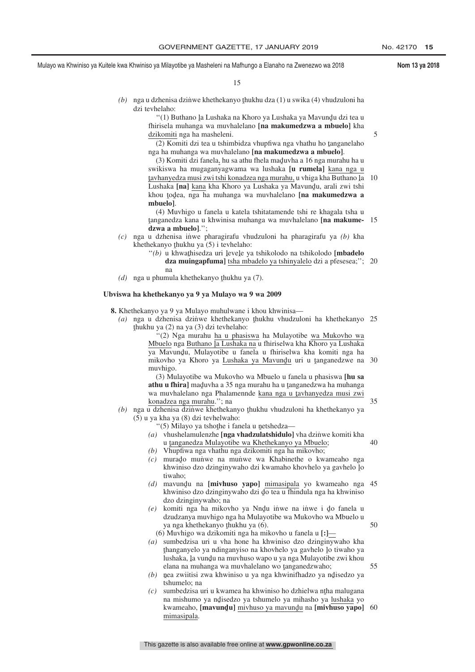5

35

55

Mulayo wa Khwiniso ya Kuitele kwa Khwiniso ya Milayotibe ya Masheleni na Mafhungo a Elanaho na Zwenezwo wa 2018 **Nom 13 ya 2018**

15

(b) nga u dzhenisa dzinwe khethekanyo thukhu dza (1) u swika (4) vhudzuloni ha<br>dzi taybelsho: dzi tevhelaho:

> "(1) Buthano la Lushaka na Khoro ya Lushaka ya Mavundu dzi tea u<br>irisela muhanga wa muyhalelano **ina makumedzwa a mbugiol** kha fhirisela muhanga wa muvhalelano **[na makumedzwa a mbuelo]** kha dzikomiti nga ha masheleni.

> $(2)$  Komiti dzi tea u tshimbidza vhupfiwa nga vhathu ho tanganelaho nga ha muhanga wa muvhalelano **[na makumedzwa a mbuelo]**.

 $(3)$  Komiti dzi fanela, hu sa athu fhela maduvha a 16 nga murahu ha u swikiswa ha mugaganyagwama wa lushaka **[u rumela]** kana nga u <u>ka manyoza masi zwi tshi kona ya Lushaka ya Mavund</u>u, arali zwi tshi<br>Lushaka **[na]** kana kha Khoro ya Lushaka ya Mavundu, arali zwi tshi tavhanyedza musi zwi tshi konadzea nga murahu, u vhiga kha Buthano la 10<br>Lushaka **Inal** kana kha Khoro va Lushaka va Mayundu, arali zwi tshi khou <u>t</u>odea, nga ha muhanga wa muvhalelano [<mark>na makumedzwa a</mark><br>mbuglol **mbuelo]**.

(4) Muvhigo u fanela u katela tshitatamende tshi re khagala tsha u ˆ **dzwa a mbuelo]**.''; tanganedza kana u khwinisa muhanga wa muvhalelano **[na makume-**15

- *(c)* nga u dzhenisa in˙ we pharagirafu vhudzuloni ha pharagirafu ya *(b)* kha khethekanyo thukhu ya  $(5)$  i tevhelaho:<br>"(b) u khwathisedza uri levele ya
	- "*(b)* u khwathisedza uri levele ya tshikolodo na tshikolodo [**mbadelo**]<br>dza mujnganfumal tsha mbadelo ya tshinyalelo dzi a nfesesea." dza muingapfuma] tsha mbadelo ya tshinyalelo dzi a pfesesea;"; 20 na
- (d) nga u phumula khethekanyo thukhu ya (7).

#### **Ubviswa ha khethekanyo ya 9 ya Mulayo wa 9 wa 2009**

**8.** Khethekanyo ya 9 ya Mulayo muhulwane i khou khwinisa—

(a) nga u dzhenisa dzinwe khethekanyo thukhu vhudzuloni ha khethekanyo 25<br>thukhu va (3) na va (3) dzi teyhelaho: ˆ thukhu ya (2) na ya (3) dzi tevhelaho:

''(2) Nga murahu ha u phasiswa ha Mulayotibe wa Mukovho wa Mbuelo nga <u>Buthano la Lushaka na</u> u fhiriselwa kha Khoro ya Lushaka<br>va Mayundu, Mulayotibe u fanela u fhiriselwa kha komiti nga ha ya Mavundu, Mulayotibe u fanela u fhiriselwa kha komiti nga ha<br>mikoybo ya Khoro ya Lushaka ya Mayundu uri u tanganedzwe na mikovho ya Khoro ya Lushaka ya Mavundu uri u tanganedzwe na 30 muvhigo.

(3) Mulayotibe wa Mukovho wa Mbuelo u fanela u phasiswa **[hu sa athu u fhira]** maduvha a 35 nga murahu ha u tanganedzwa ha muhanga<br>wa muyhalelano nga Phalamennde kana nga u tayhanyedza musi zwi wa muvhalelano nga Phalamennde kana nga u tavhanyedza musi zwi<br>konadzea nga murabu "; na konadzea nga murahu.''; na

- (b) nga u dzhenisa dzinwe khethekanyo thukhu vhudzuloni ha khethekanyo ya<br>(5) u ya kha ya (8) dzi teyhelwaho: (5) u ya kha ya (8) dzi tevhelwaho:
	- "(5) Milayo ya tshothe i fanela u netshedza—<br>u whushelamulenzhe **[nga yhadzulatshidulo]**
	- *(a)* vhushelamulenzhe **[nga vhadzulatshidulo**] vha dzinwe komiti kha u <u>tanganedza Mulayotibe wa Khethekanyo ya Mbuelo;</u><br>Vhunfiwa nga yhathu nga dzikomiti nga ha mikoybo; 40
	- *(b)* Vhupfiwa nga vhathu nga dzikomiti nga ha mikovho;
	- *(c)* murado munive na munive wa Khabinethe o kwameaho nga<br>khwiniso dzo dzinginywaho dzi kwamaho khovhelo ya gaybelo lo khwiniso dzo dzinginywaho dzi kwamaho khovhelo ya gavhelo Įo<br>tiwaho: tiwaho;
	- (*d*) mavundu na [**mivhuso yapo**] <u>mimasipala</u> yo kwameaho nga 45<br>khwiniso dzo dzinginywaho dzi do tea u fhindula nga ha khwiniso khwiniso dzo dzinginywaho dzi do tea u fhindula nga ha khwiniso<br>dzo dzinginywaho: na dzo dzinginywaho; na
	- $(e)$  komiti nga ha mikovho ya Nndu iniwe na inwe i do fanela u dzudzenya muyhigo nga ha Mulayotibe wa Mukovho wa Mbuelo u dzudzanya muvhigo nga ha Mulayotibe wa Mukovho wa Mbuelo u ya nga khethekanyo <u>t</u>hukhu ya (6).<br>Muyhigo wa dzikomiti nga ha mi 50
		- (6) Muvhigo wa dzikomiti nga ha mikovho u fanela u **[:]**—
	- *(a)* sumbedzisa uri u vha hone ha khwiniso dzo dzinginywaho kha ˆ lushaka, <sup>ˆ</sup> la vundˆ u na muvhuso wapo u ya nga Mulayotibe zwi khou thanganyelo ya ndinganyiso na khovhelo ya gavhelo lo tiwaho ya hasha kuta khou<br>lushaka Ja yundu na muyhuso wano u ya nga Mulayotibe zwi khou elana na muhanga wa muvhalelano wo tanganedzwaho;<br>nea zwijitisi zwa khwiniso u va nga khwinifhadzo va n
	- (b) nea zwiitisi zwa khwiniso u ya nga khwinifhadzo ya ndisedzo ya<br>tshumelo: na ˆ tshumelo; na
	- *(c)* sumbedzisa uri u kwamea ha khwiniso ho dzhielwa ntha malugana<br>na mishumo ya ndisedzo ya tshumelo ya mihasho ya lushaka yo na mishumo ya ndisedzo ya tshumelo ya mihasho ya <u>lushaka</u> yo<br>kwameabo **[mayundu]** miyhuso ya mayundu na **[miyhuso yano]** kwameaho, **[mavund̪u]** <u>mivhuso ya mavund̪u</u> na **[mivhuso yapo]** 60<br>mimasinala mimasipala.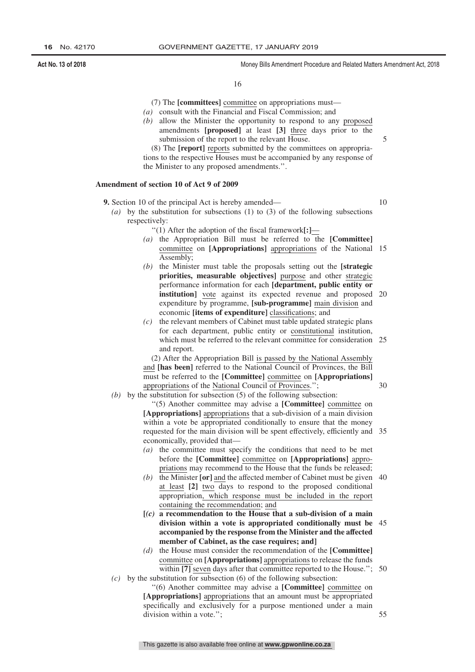16

- (7) The **[committees]** committee on appropriations must—
- *(a)* consult with the Financial and Fiscal Commission; and
- *(b)* allow the Minister the opportunity to respond to any proposed amendments **[proposed]** at least **[3]** three days prior to the submission of the report to the relevant House.

5

(8) The **[report]** reports submitted by the committees on appropriations to the respective Houses must be accompanied by any response of the Minister to any proposed amendments.''.

#### **Amendment of section 10 of Act 9 of 2009**

**9.** Section 10 of the principal Act is hereby amended—

10

30

- *(a)* by the substitution for subsections (1) to (3) of the following subsections respectively:
	- ''(1) After the adoption of the fiscal framework**[:]**—
	- *(a)* the Appropriation Bill must be referred to the **[Committee]** committee on **[Appropriations]** appropriations of the National 15 Assembly;
	- *(b)* the Minister must table the proposals setting out the **[strategic priorities, measurable objectives]** purpose and other strategic performance information for each **[department, public entity or institution**] vote against its expected revenue and proposed expenditure by programme, **[sub-programme]** main division and economic **[items of expenditure]** classifications; and 20
	- *(c)* the relevant members of Cabinet must table updated strategic plans for each department, public entity or constitutional institution, which must be referred to the relevant committee for consideration 25 and report.

(2) After the Appropriation Bill is passed by the National Assembly and **[has been]** referred to the National Council of Provinces, the Bill must be referred to the **[Committee]** committee on **[Appropriations]** appropriations of the National Council of Provinces.'';

*(b)* by the substitution for subsection (5) of the following subsection:

''(5) Another committee may advise a **[Committee]** committee on **[Appropriations]** appropriations that a sub-division of a main division within a vote be appropriated conditionally to ensure that the money requested for the main division will be spent effectively, efficiently and 35 economically, provided that—

- *(a)* the committee must specify the conditions that need to be met before the **[Committee]** committee on **[Appropriations]** appropriations may recommend to the House that the funds be released;
- *(b)* the Minister **[or]** and the affected member of Cabinet must be given 40 at least **[2]** two days to respond to the proposed conditional appropriation, which response must be included in the report containing the recommendation; and
- **[***(c)* **a recommendation to the House that a sub-division of a main division within a vote is appropriated conditionally must be** 45 **accompanied by the response from the Minister and the affected member of Cabinet, as the case requires; and]**
- *(d)* the House must consider the recommendation of the **[Committee]** committee on **[Appropriations]** appropriations to release the funds within [7] seven days after that committee reported to the House."; 50 *(c)* by the substitution for subsection (6) of the following subsection:
	- ''(6) Another committee may advise a **[Committee]** committee on **[Appropriations]** appropriations that an amount must be appropriated specifically and exclusively for a purpose mentioned under a main division within a vote.''; 55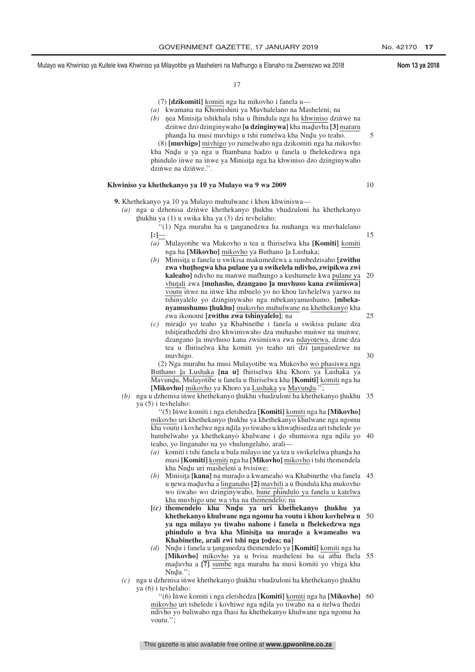5

10

15

30

Mulayo wa Khwiniso ya Kuitele kwa Khwiniso ya Milayotibe ya Masheleni na Mafhungo a Elanaho na Zwenezwo wa 2018 **Nom 13 ya 2018**

17

(7) **[dzikomiti]** komiti nga ha mikovho i fanela u—

- *(a)* kwamana na Khomishini ya Muvhalelano na Masheleni; na
- (b) nea Minisita tshikhala tsha u fhindula nga ha <u>khwiniso</u> dzinue na<br>dzinywadzo dzinginywaho **lu dzinginywal** kha maduuba [3] mataru dzinwe dzo dzinginywaho **[u dzinginywa]** kha maduwa za miwe na<br>dzinwe dzo dzinginywaho **[u dzinginywa]** kha maduwha **[3]** mararu phanda ha musi muvhigo u tshi rumelwa kha Nndu yo teaho.<br>Umuvhigol miyhigo yo rumelwaho nga dzikomiti nga ba mik (8) **[muvhigo]** mivhigo yo rumelwaho nga dzikomiti nga ha mikovho kha Nndu u ya nga u fhambana hadzo u fanela u fhelekedzwa nga<br>phindulo inwe na inwe ya Minisita nga ha khwiniso dzo dzinginywaho

## phindulo inwe na inwe ya Minisita nga ha khwiniso dzo dzinginywaho<br>dzinywa na dzinywa " dzinwe na dzinwe.".

#### **Khwiniso ya khethekanyo ya 10 ya Mulayo wa 9 wa 2009**

- **9.** Khethekanyo ya 10 ya Mulayo muhulwane i khou khwiniswa—
	- (a) nga u dzhenisa dzinwe khethekanyo thukhu vhudzuloni ha khethekanyo thukhu va  $(1)$  u swika kha va  $(3)$  dzi tevhelaho: ˆ thukhu ya (1) u swika kha ya (3) dzi tevhelaho:
		- "(1) Nga murahu ha u tanganedzwa ha muhanga wa muvhalelano **[:]**—
		- *(a)* Mulayotibe wa Mukovho u tea u fhiriselwa kha **[Komiti]** komiti nga ha **[Mikovho]** <u>mikovho</u> ya Buthano <u>l</u>a Lushaka;<br>Minisita u fanela u swikisa makumedzwa a sumbedz
		- *(b)* Minisita u fanela u swikisa makumedzwa a sumbedzisaho [zwithu]<br>zwa yhuthogwa kha pulane ya u swikelela ndiyho zwinikwa zwi zwa vhuţhogwa kha pulane ya u swikelela ndivho, zwipikwa zwi<br>kaleabol ndivho na manwe mafbungo a kushumele kwa pulane ya kaleaho] ndivho na manwe mafhungo a kushumele kwa pulane ya vhutali zwa **[muhasho, dzangano ]a muvhuso kana zwiimiswa]**<br>voutu inwe na inwe kha mbuelo yo no khou laybelelwa yazwo na voutu inwe na inwe kha mbuelo yo no khou lavhelelwa yazwo na tshinyalelo yo dzinginywaho nga mbekanyamushumo, **[mbekanyamushumo thukhu]** mukovho muhulwane na khethekanyo kha zwa ikonomi **[zwithu zwa tshinyalelo]**; na 20 25
		- *(c)* mirado yo teaho ya Khabinethe i fanela u swikisa pulane dza tehnitirathedzhi dzo khwiniswaho dza muhasho muniwe na muniwe tshiţirathedzhi dzo khwiniswaho dza muhasho mun≀we na mun≀we, dzine dza dzangano la muvhuso kana zwiimiswa zwa ndayotewa, dzine dza<br>tea u fhiriselwa kha komiti vo teabo uri dzi tanganedzwe na tea u fhiriselwa kha komiti yo teaho uri dzi tanganedzwe na<br>muyhigo muvhigo.

(2) Nga murahu ha musi Mulayotibe wa Mukovho wo phasiswa nga Buthano <u>la Lushaka</u> [**na u**] fhiriselwa kha Khoro ya Lushaka ya<br>Mayundu Mulayotibe u fanela u fhiriselwa kha [Komiti] komiti nga ha Mavundu, Mulayotibe u fanela u fhiriselwa kha **[Komiti]** <u>komiti</u> nga ha<br>**Ulikovhol** mikovho va Khoro va Lushaka va Mavundu <sup>77</sup> **[Mikovho]** mikovho ya Khoro ya <u>Lushaka</u> ya <u>Mavund</u>u.";<br>udzhenisa inwe khethekanyo thukhu yhudzuloni ha khethek

(b) nga u dzhenisa inwe khethekanyo <u>thukhu vhudzuloni ha khethekanyo thukhu</u> 35<br>va (5) i teyhelaho: ya (5) i tevhelaho:

> ''(5) In˙ we komiti i nga eletshedza **[Komiti]** komiti nga ha **[Mikovho]** mikovho uri khethekanyo thukhu ya khethekanyo khulwane nga ngomu<br>kha youtu i koybelwe nga ndila yo tiwaho u khwathisedza uri tshelede yo kha voutu i kovhelwe nga ndila yo tiwaho u khwathisedza uri tshelede yo<br>humbelwaho ya khethekanyo khulwane i do shumiswa nga ndila yo humbelwaho ya khethekanyo khulwane i do shumiswa nga ndila yo 40<br>teaho yo linganabo na yo yhulungelaho arali teaho, yo linganaho na yo vhulungelaho, arali—

- *(a)* komiti i tshi fanela u bula milayo ine ya tea u swikelelwa phanda ha<br>musi **Komiti** komiti nga ha **Mikoybo**l mikoybo i tshi themandela musi **[Komiti]** komiti nga ha **[Mikovho]** mikovho i tshi themendela kha Nndu uri masheleni a bvisiwe;<br>Minisita Ikanal na murado a kwam
- (b) Minisita [**kana**] na murado a kwameaho wa Khabinethe vha fanela 45 u newa maduvha a <u>linganaho</u> [2] <u>mavhili</u> a u fhindula kha mukovho<br>wo tiwaho wo dzinginywaho, hune phindulo va fanela u katelwa wo tiwaho wo dzinginywaho, hune phindulo ya fanela u katelwa kha muvhigo une wa vha na themendelo; na
- **[**(c) **themendelo** kha Nndu ya uri khethekanyo thukhu ya khethekanyo khulwane nga ngomu ha youtu i khou koyhelwa u **khethekanyo khulwane nga ngomu ha voutu i khou kovhelwa u** 50 **ya nga milayo yo tiwaho nahone i fanela u fhelekedzwa nga phindulo u bva kha Minisita na murado a kwameaho wa**<br>Khabinethe arali zwi tshi nga todea: nal **Khabinethe, arali zwi tshi nga <b>***t***odea; na**]<br>Nudu i fanela u tanganedza themendelo va l
- *(d)* Nndu i fanela u tanganedza themendelo ya [**Komiti**] komiti nga ha **[Mikovho]** mikovho ya u bvisa masheleni hu sa athu fhela maduvha a [7] sumbe nga murahu ha musi komiti yo vhiga kha<br>Nndu " Nndu.'';<br>enisa inv 55
- (c) nga u dzhenisa inwe khethekanyo thukhu vhudzuloni ha khethekanyo thukhu<br>va (6) i teyhelaho: ya (6) i tevhelaho:
	- "(6) Inwe komiti i nga eletshedza [Komiti] komiti nga ha [Mikovho] 60 mikovho uri tshelede i kovhiwe nga ndila yo tiwaho na u itelwa fhedzi<br>ndiybo yo buliwaho nga fhasi ha khethekanyo khulwane nga ngomu ha ndivho yo buliwaho nga fhasi ha khethekanyo khulwane nga ngomu ha voutu.'';

This gazette is also available free online at **www.gpwonline.co.za**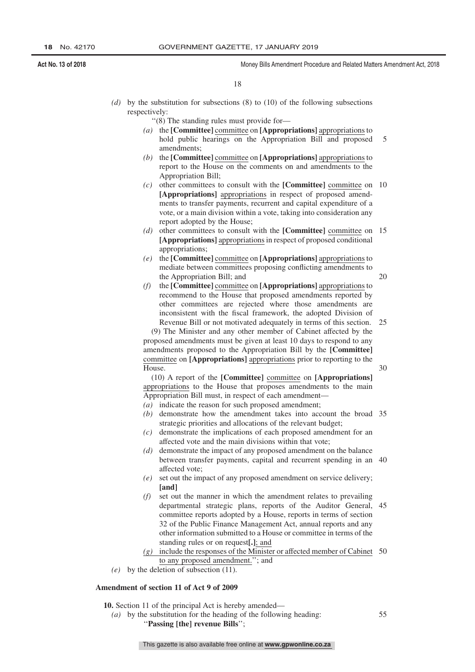18

*(d)* by the substitution for subsections (8) to (10) of the following subsections respectively:

''(8) The standing rules must provide for—

- *(a)* the **[Committee]** committee on **[Appropriations]** appropriations to hold public hearings on the Appropriation Bill and proposed amendments; 5
- *(b)* the **[Committee]** committee on **[Appropriations]** appropriations to report to the House on the comments on and amendments to the Appropriation Bill;
- *(c)* other committees to consult with the **[Committee]** committee on 10 **[Appropriations]** appropriations in respect of proposed amendments to transfer payments, recurrent and capital expenditure of a vote, or a main division within a vote, taking into consideration any report adopted by the House;
- *(d)* other committees to consult with the **[Committee]** committee on 15 **[Appropriations]** appropriations in respect of proposed conditional appropriations;
- *(e)* the **[Committee]** committee on **[Appropriations]** appropriations to mediate between committees proposing conflicting amendments to the Appropriation Bill; and
- *(f)* the **[Committee]** committee on **[Appropriations]** appropriations to recommend to the House that proposed amendments reported by other committees are rejected where those amendments are inconsistent with the fiscal framework, the adopted Division of Revenue Bill or not motivated adequately in terms of this section.

(9) The Minister and any other member of Cabinet affected by the proposed amendments must be given at least 10 days to respond to any amendments proposed to the Appropriation Bill by the **[Committee]** committee on **[Appropriations]** appropriations prior to reporting to the House. 30

(10) A report of the **[Committee]** committee on **[Appropriations]** appropriations to the House that proposes amendments to the main

Appropriation Bill must, in respect of each amendment—

- *(a)* indicate the reason for such proposed amendment;
- *(b)* demonstrate how the amendment takes into account the broad 35 strategic priorities and allocations of the relevant budget;
- *(c)* demonstrate the implications of each proposed amendment for an affected vote and the main divisions within that vote;
- *(d)* demonstrate the impact of any proposed amendment on the balance between transfer payments, capital and recurrent spending in an 40 affected vote;
- *(e)* set out the impact of any proposed amendment on service delivery; **[and]**
- *(f)* set out the manner in which the amendment relates to prevailing departmental strategic plans, reports of the Auditor General, 45 committee reports adopted by a House, reports in terms of section 32 of the Public Finance Management Act, annual reports and any other information submitted to a House or committee in terms of the standing rules or on request**[.]**; and
- *(g)* include the responses of the Minister or affected member of Cabinet 50 to any proposed amendment.''; and
- *(e)* by the deletion of subsection (11).

#### **Amendment of section 11 of Act 9 of 2009**

**10.** Section 11 of the principal Act is hereby amended—

*(a)* by the substitution for the heading of the following heading: ''**Passing [the] revenue Bills**'';

20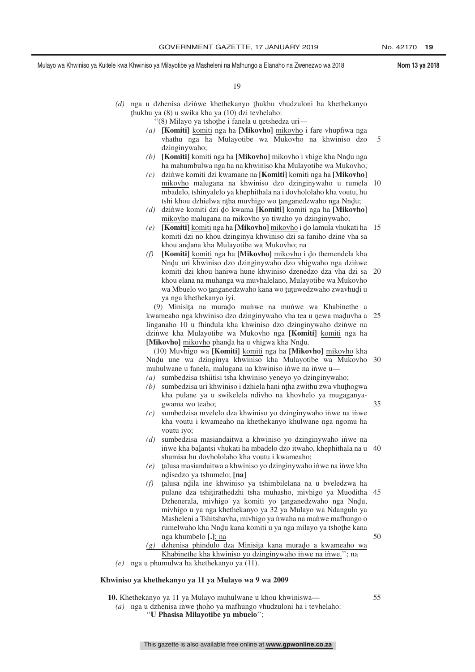19

- (d) nga u dzhenisa dzinwe khethekanyo thukhu vhudzuloni ha khethekanyo thukhu va  $(8)$ u swika kha va  $(10)$  dzi tayhelaho: ˆ thukhu ya (8) u swika kha ya (10) dzi tevhelaho:
	- "(8) Milayo ya tshothe i fanela u netshedza uri—<br>L**Komiti** komiti nga ha **Mikoyho** mikoyho i
	- *(a)* **[Komiti]** komiti nga ha **[Mikovho]** mikovho i fare vhupfiwa nga vhathu nga ha Mulayotibe wa Mukovho na khwiniso dzo dzinginywaho; 5
	- (b) **[Komiti]** komiti nga ha **[Mikovho]** mikovho i vhige kha Nndu nga ha mahumbulwa nga ha na khwiniso kha Mulayotibe wa Mukovho: ha mahumbulwa nga ha na khwiniso kha Mulayotibe wa Mukovho;
	- *(c)* dzin˙ we komiti dzi kwamane na **[Komiti]** komiti nga ha **[Mikovho]** mikovho malugana na khwiniso dzo dzinginywaho u rumela 10 mbadelo, tshinyalelo ya khephithala na i dovhololaho kha voutu, hu tshi khou dzhielwa nțha muvhigo wo țanganedzwaho nga Nndu;<br>dzinye komiti dzi do kwama [**Komiti]** komiti nga ba [**Mikovh**
	- (d) dzinwe komiti dzi do kwama **[Komiti]** <u>komiti</u> nga ha **[Mikovho]**<br>mikovho malugana na mikovho yo tiwaho yo dzinginywaho: mikovho malugana na mikovho yo tiwaho yo dzinginywaho;
	- *(e)* **[Komiti]** <u>komiti</u> nga ha **[Mikovho]** mikovho i do lamula vhukati ha 15<br>
	komiti dzi no khou dzinginya khuinico dzi sa faniho dzine vha sa komiti dzi no khou dzinginya khwiniso dzi sa faniho dzine vha sa khou andana kha Mulayotibe wa Mukovho; na<br>Ukomitil komiti nga ha Ulikovhol mikovho i
	- (f) **[Komiti]** komiti nga ha **[Mikovho]** mikovho i do themendela kha Nndu uri khwiniso dzo dzinginywaho dzo vhigwaho nga dzinwe<br>komiti dzi khou haniwa huna khwiniso dzanadzo dza vha dzi sa komiti dzi khou haniwa hune khwiniso dzenedzo dza vha dzi sa 20 khou elana na muhanga wa muvhalelano, Mulayotibe wa Mukovho wa Mbuelo wo tanganedzwaho kana wo tutuwedzwaho zwavhudi u ya nga khethekanyo iyi.

(9) Minisita na murado muniwe na muniwe wa Khabinethe a kwameaho nga khwiniso dzo dzinginywaho vha tea u newa maduvha a 25<br>linganabo 10 u fhindula kha khwiniso dzo dzinginywaho dzinywa na linganaho 10 u fhindula kha khwiniso dzo dzinginywaho dzinwe na dzin˙ we kha Mulayotibe wa Mukovho nga **[Komiti]** komiti nga ha **[Mikovho]** mikovho phanda ha u vhigwa kha Nndu.<br>(10) Muyhigo wa **[Komiti]** komiti nga ha **[Miko**]

(10) Muvhigo wa **[Komiti]** komiti nga ha **[Mikovho]** mikovho kha Nndu une wa dzinginya khwiniso kha Mulayotibe wa Mukovho 30<br>muhulwane u fanela malugana na khwiniso inwe na inwe u muhulwane u fanela, malugana na khwiniso inwe na inwe u—

- *(a)* sumbedzisa tshiitisi tsha khwiniso yeneyo yo dzinginywaho;
- *(b)* sumbedzisa uri khwiniso i dzhiela hani ntha zwithu zwa vhuthogwa<br>kha pulane ya u swikelela ndiyho na khoybelo ya mugaganya kha pulane ya u swikelela ndivho na khovhelo ya mugaganyagwama wo teaho;
- *(c)* sumbedzisa mvelelo dza khwiniso yo dzinginywaho inwe na inwe kha voutu i kwameaho na khethekanyo khulwane nga ngomu ha voutu iyo;
- *(d)* sumbedzisa masiandaitwa a khwiniso yo dzinginywaho inwe na inwe kha balantsi vhukati ha mbadelo dzo itwaho, khephithala na u<br>shumisa bu dovhololaho kha youtu i kwamaabo: shumisa hu dovhololaho kha voutu i kwameaho; 40
- *(e)* <sup>ˆ</sup> talusa masiandaitwa a khwiniso yo dzinginywaho inwe na inwe kha nd isedzo ya tshumelo; **[na]**
- ˆ talusa ndˆ ila ine khwiniso ya tshimbilelana na u bveledzwa ha  $(f)$ pulane dza tshițirathedzhi tsha muhasho, mivhigo ya Muoditha 45<br>Dzhanarala, mivhigo ya komiti ya tanganedzwaho nga Nudu Dzhenerala, mivhigo ya komiti yo tanganedzwaho nga Nndu,<br>miyhigo u ya nga khathakanyo ya 32 ya Mulayo wa Ndangulo ya mivhigo u ya nga khethekanyo ya 32 ya Mulayo wa Ndangulo ya Masheleni a Tshitshavha, mivhigo ya nwaha na manwe mafhungo o rumelwaho kha Nnd̥u kana komiti u ya nga milayo ya tshothe kana<br>nga khumbelo Lh na nga khumbelo **[.]**; na 50
- $(g)$  dzhenisa phindulo dza Minisita kana murado a kwameaho wa<br>Khabinatha kha khwiniso wa dzinginywaho inwe na inwe ": na Khabinethe kha khwiniso yo dzinginywaho inwe na inwe."; na
- *(e)* nga u phumulwa ha khethekanyo ya (11).

#### **Khwiniso ya khethekanyo ya 11 ya Mulayo wa 9 wa 2009**

**10.** Khethekanyo ya 11 ya Mulayo muhulwane u khou khwiniswa—

(a) nga u dzhenisa inwe thoho ya mafhungo vhudzuloni ha i tevhelaho:<br>
"I **Phasisa Milayotihe ya mhuelo**" ''**U Phasisa Milayotibe ya mbuelo**'';

55

35

This gazette is also available free online at **www.gpwonline.co.za**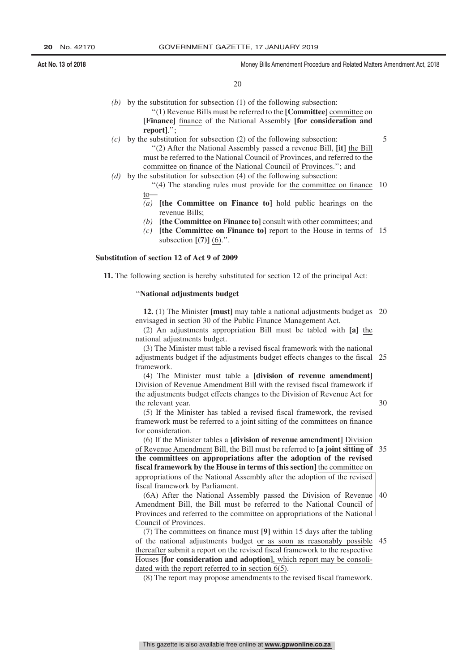20

- *(b)* by the substitution for subsection (1) of the following subsection: ''(1) Revenue Bills must be referred to the **[Committee]** committee on **[Finance]** finance of the National Assembly **[for consideration and report]**.'';
- *(c)* by the substitution for subsection (2) of the following subsection: ''(2) After the National Assembly passed a revenue Bill, **[it]** the Bill must be referred to the National Council of Provinces, and referred to the committee on finance of the National Council of Provinces.''; and
- *(d)* by the substitution for subsection (4) of the following subsection:
	- "(4) The standing rules must provide for the committee on finance 10 to—
	- *(a)* **[the Committee on Finance to]** hold public hearings on the revenue Bills;
	- *(b)* **[the Committee on Finance to]** consult with other committees; and
	- *(c)* **[the Committee on Finance to]** report to the House in terms of 15 subsection **[(7)]** (6).''.

#### **Substitution of section 12 of Act 9 of 2009**

**11.** The following section is hereby substituted for section 12 of the principal Act:

#### ''**National adjustments budget**

**12.** (1) The Minister **[must]** may table a national adjustments budget as 20 envisaged in section 30 of the Public Finance Management Act.

(2) An adjustments appropriation Bill must be tabled with **[a]** the national adjustments budget.

(3) The Minister must table a revised fiscal framework with the national adjustments budget if the adjustments budget effects changes to the fiscal framework. 25

(4) The Minister must table a **[division of revenue amendment]** Division of Revenue Amendment Bill with the revised fiscal framework if the adjustments budget effects changes to the Division of Revenue Act for the relevant year.

30

5

(5) If the Minister has tabled a revised fiscal framework, the revised framework must be referred to a joint sitting of the committees on finance for consideration.

(6) If the Minister tables a **[division of revenue amendment]** Division of Revenue Amendment Bill, the Bill must be referred to **[a joint sitting of** 35 **the committees on appropriations after the adoption of the revised fiscal framework by the House in terms of this section]** the committee on appropriations of the National Assembly after the adoption of the revised fiscal framework by Parliament.

(6A) After the National Assembly passed the Division of Revenue Amendment Bill, the Bill must be referred to the National Council of Provinces and referred to the committee on appropriations of the National Council of Provinces. 40

(7) The committees on finance must **[9]** within 15 days after the tabling of the national adjustments budget or as soon as reasonably possible 45thereafter submit a report on the revised fiscal framework to the respective Houses **[for consideration and adoption]**, which report may be consolidated with the report referred to in section 6(5).

(8) The report may propose amendments to the revised fiscal framework.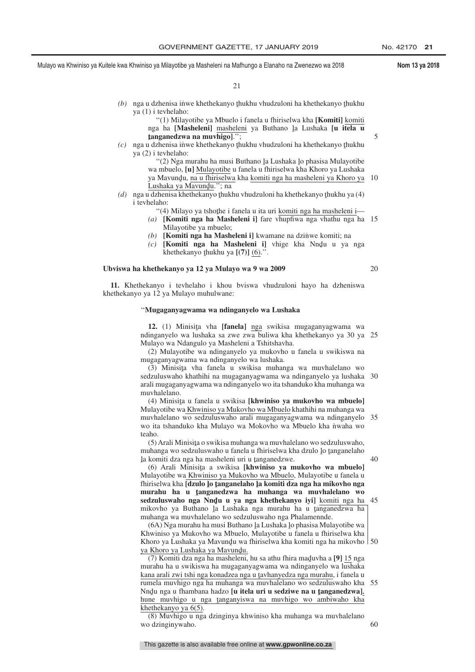$21$ 

- (b) nga u dzhenisa inwe khethekanyo thukhu vhudzuloni ha khethekanyo thukhu<br>va (1) i teyhelaho: ya (1) i tevhelaho:
	- ''(1) Milayotibe ya Mbuelo i fanela u fhiriselwa kha **[Komiti]** komiti nga ha **[Masheleni]** <u>masheleni</u> ya Buthano <u>l</u>a Lushaka **[u itela u**<br>tanganedzwa na muvhigo] '': **tanganedzwa na muvhigo]**.'';
- **Thukhu vhudzuloni ha khethekanyo thukhu**<br> **S l** *(c)* nga u dzhenisa inwe khethekanyo thukhu vhudzuloni ha khethekanyo thukhu<br>
ya (2) i teyhelaho: ya (2) i tevhelaho:
	- "(2) Nga murahu ha musi Buthano la Lushaka lo phasisa Mulayotibe<br>| mbuelo Jul Mulayotibe u fanela u fhiriselwa kha Khoro ya Lushaka wa mbuelo, **[u]** Mulayotibe u fanela u fhiriselwa kha Khoro ya Lushaka ya Mavundu, <u>na u fhiriselwa</u> kha <u>komiti nga ha masheleni ya Khoro ya</u> 10<br>Lushaka ya Mavundu '': na
- Lushaka ya Mavundu."; na<br>udzhenisa khethekanyo thuk (d) nga u dzhenisa khethekanyo <u>t</u>hukhu vhudzuloni ha khethekanyo thukhu ya (4)<br>i teyhelaho: i tevhelaho:
	- "(4) Milayo ya tshothe i fanela u ita uri <u>komiti nga ha masheleni i</u>—<br>L**Komiti nga ha Masheleni i**l fare yhunfiwa nga yhathu nga ha
	- *(a)* **[Komiti nga ha Masheleni i]** fare vhupfiwa nga vhathu nga ha 15 Milayotibe ya mbuelo;
	- *(b)* **[Komiti nga ha Masheleni i]** kwamane na dzinwe komiti; na
	- (c) **[Komiti nga ha Masheleni i]** vhige kha Nndu u ya nga khethekanyo thukhu ya  $I(7)$ ] (6)<sup>"</sup> khethekanyo <u>t</u>hukhu ya [(7)] <u>(6)</u>.".

#### **Ubviswa ha khethekanyo ya 12 ya Mulayo wa 9 wa 2009**

20

5

**11.** Khethekanyo i tevhelaho i khou bviswa vhudzuloni hayo ha dzheniswa khethekanyo ya 12 ya Mulayo muhulwane:

#### ''**Mugaganyagwama wa ndinganyelo wa Lushaka**

**12.** (1) Minisita vha **[fanela]** nga swikisa mugaganyagwama wa<br>inganyelo wa lushaka sa zwe zwa buliwa kha khethekanyo ya 30 ya ndinganyelo wa lushaka sa zwe zwa buliwa kha khethekanyo ya 30 ya 25 Mulayo wa Ndangulo ya Masheleni a Tshitshavha.

(2) Mulayotibe wa ndinganyelo ya mukovho u fanela u swikiswa na mugaganyagwama wa ndinganyelo wa lushaka.

(3) Minisita yha fanela u swikisa muhanga wa muvhalelano wo<br>dzuluswaho khathihi na mugaganyagwama wa ndinganyelo ya lushaka sedzuluswaho khathihi na mugaganyagwama wa ndinganyelo ya lushaka 30 arali mugaganyagwama wa ndinganyelo wo ita tshanduko kha muhanga wa muvhalelano.

(4) Minisiţa u fanela u swikisa **[khwiniso ya mukovho wa mbuelo]**<br>ulayotibe wa Khwiniso ya Mukoyho wa Mbuelo khathibi na muhanga wa Mulayotibe wa Khwiniso ya Mukovho wa Mbuelo khathihi na muhanga wa muvhalelano wo sedzuluswaho arali mugaganyagwama wa ndinganyelo 35 wo ita tshanduko kha Mulayo wa Mokovho wa Mbuelo kha nwaha wo teaho.

(5) Arali Minisita o swikisa muhanga wa muvhalelano wo sedzuluswaho,<br>uhanga wo sedzuluswaho u fanela u fhiriselwa kha dzulo lo tanganelaho muhanga wo sedzuluswaho u fanela u fhiriselwa kha dzulo lo tanganelaho<br>la komiti dza nga ha masheleni uri u tanganedzwe la komiti dza nga ha masheleni uri u tanganedzwe.<br>(6) Arali Minisita a swikisa **Ikhwiniso ya n** 

(6) Arali Minisita a swikisa **[khwiniso ya mukovho wa mbuelo]**<br>ulayotibe wa Khwiniso ya Mukovho wa Mbuelo, Mulayotibe u fanela u Mulayotibe wa Khwiniso ya Mukovho wa Mbuelo, Mulayotibe u fanela u fhiriselwa kha **[dzulo <sup>ˆ</sup> lo ˆ tanganelaho <sup>ˆ</sup> la komiti dza nga ha mikovho nga murahu ha u tanganedzwa ha muhanga wa muvhalelano wo**<br>sedzuluswaho nga Nndu u ya nga khethekanyo iyil komiti nga ha **sedzuluswaho nga Nndu u ya nga khethekanyo iyi]** komiti nga ha 45<br>mikoybo ya Buthano la Lushaka nga murabu ha u tanganedzwa ha l mikovho ya Buthano la Lushaka nga murahu ha u tanganedzwa ha<br>muhanga wa muyhalelano wo sedzuluswaho nga Phalamennde muhanga wa muvhalelano wo sedzuluswaho nga Phalamennde.

(6A) Nga murahu ha musi Buthano la Lushaka lo phasisa Mulayotibe wa<br>winiso ya Mukoybo wa Mbuelo, Mulayotibe u fanela u fhiriselwa kha Khwiniso ya Mukovho wa Mbuelo, Mulayotibe u fanela u fhiriselwa kha Khoro ya Lushaka ya Mavundu wa fhiriselwa kha komiti nga ha mikovho | 50<br>va Khoro ya Lushaka ya Mavundu ya Khoro ya Lushaka ya Mavundu.<br>(7) Komiti dza nga ha masheleni

(7) Komiti dza nga ha masheleni, hu sa athu fhira maduvha a [9] 15 nga<br>urahu ha u swikiswa ha mugaganyagwama wa ndinganyelo wa lushaka murahu ha u swikiswa ha mugaganyagwama wa ndinganyelo wa lushaka kana arali zwi tshi nga konadzea nga u tavhanyedza nga murahu, i fanela u<br>rumela muybigo nga ha muhanga wa muybalelano wo sedzuluswaho kha rumela muvhigo nga ha muhanga wa muvhalelano wo sedzuluswaho kha 55 Nndu nga u fhambana hadzo **[u itela uri u sedziwe na u tanganedzwa]**,<br>hune muybigo u nga tanganyiswa na muybigo wo ambiwabo kha hune muvhigo u nga tanganyiswa na muvhigo wo ambiwaho kha<br>khethekanyo ya 6(5) khethekanyo ya 6(5).

(8) Muvhigo u nga dzinginya khwiniso kha muhanga wa muvhalelano wo dzinginywaho.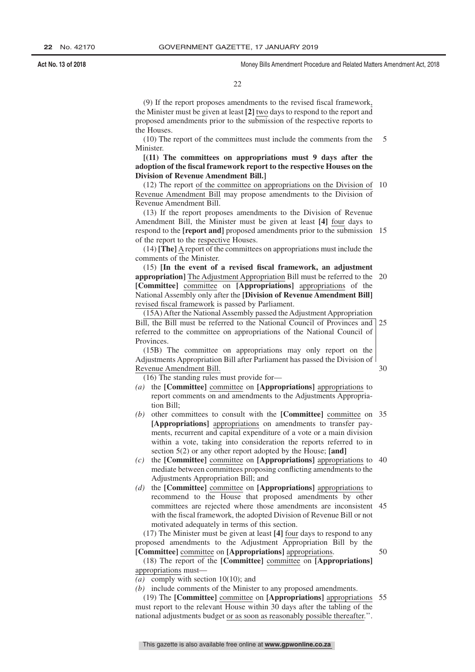22

(9) If the report proposes amendments to the revised fiscal framework, the Minister must be given at least **[2]** two days to respond to the report and proposed amendments prior to the submission of the respective reports to the Houses.

(10) The report of the committees must include the comments from the Minister. 5

#### **[(11) The committees on appropriations must 9 days after the adoption of the fiscal framework report to the respective Houses on the Division of Revenue Amendment Bill.]**

(12) The report of the committee on appropriations on the Division of 10 Revenue Amendment Bill may propose amendments to the Division of Revenue Amendment Bill.

(13) If the report proposes amendments to the Division of Revenue Amendment Bill, the Minister must be given at least **[4]** four days to respond to the **[report and]** proposed amendments prior to the submission 15 of the report to the respective Houses.

(14) **[The]** A report of the committees on appropriations must include the comments of the Minister.

(15) **[In the event of a revised fiscal framework, an adjustment appropriation]** The Adjustment Appropriation Bill must be referred to the **[Committee]** committee on **[Appropriations]** appropriations of the National Assembly only after the **[Division of Revenue Amendment Bill]** revised fiscal framework is passed by Parliament. 20

(15A) After the National Assembly passed the Adjustment Appropriation Bill, the Bill must be referred to the National Council of Provinces and referred to the committee on appropriations of the National Council of **Provinces** 25

(15B) The committee on appropriations may only report on the Adjustments Appropriation Bill after Parliament has passed the Division of Revenue Amendment Bill.

(16) The standing rules must provide for—

- *(a)* the **[Committee]** committee on **[Appropriations]** appropriations to report comments on and amendments to the Adjustments Appropriation Bill;
- *(b)* other committees to consult with the **[Committee]** committee on 35 **[Appropriations]** appropriations on amendments to transfer payments, recurrent and capital expenditure of a vote or a main division within a vote, taking into consideration the reports referred to in section 5(2) or any other report adopted by the House; **[and]**
- *(c)* the **[Committee]** committee on **[Appropriations]** appropriations to 40 mediate between committees proposing conflicting amendments to the Adjustments Appropriation Bill; and
- *(d)* the **[Committee]** committee on **[Appropriations]** appropriations to recommend to the House that proposed amendments by other committees are rejected where those amendments are inconsistent 45 with the fiscal framework, the adopted Division of Revenue Bill or not motivated adequately in terms of this section.

(17) The Minister must be given at least **[4]** four days to respond to any proposed amendments to the Adjustment Appropriation Bill by the **[Committee]** committee on **[Appropriations]** appropriations.

50

30

(18) The report of the **[Committee]** committee on **[Appropriations]** appropriations must—

*(a)* comply with section 10(10); and

*(b)* include comments of the Minister to any proposed amendments.

(19) The **[Committee]** committee on **[Appropriations]** appropriations 55must report to the relevant House within 30 days after the tabling of the national adjustments budget or as soon as reasonably possible thereafter.''.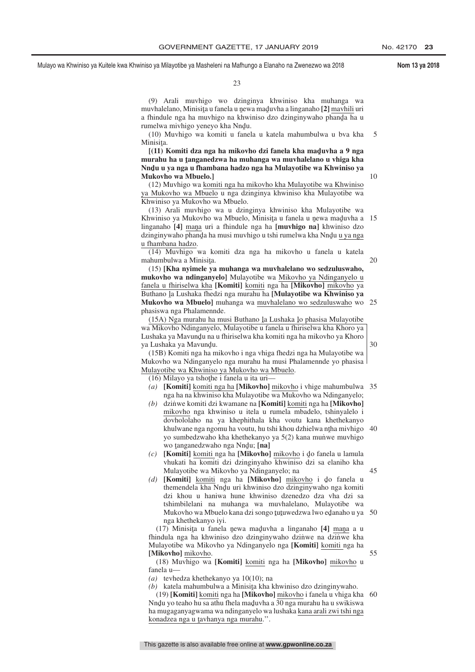23

(9) Arali muvhigo wo dzinginya khwiniso kha muhanga wa muvhalelano, Minisita u fanela u newa maduvha a linganaho **[2]** mavhili uri<br>a fhindule nga ha muvhigo na khwiniso dzo dzinginywaho phanda ha u a fhindule nga ha muvhigo na khwiniso dzo dzinginywaho phanda ha u<br>rumelwa miybigo venevo kha Nndu rumelwa mivhigo yeneyo kha Nndu.<br>(10) Muyhigo wa komiti u fanel

(10) Muvhigo wa komiti u fanela u katela mahumbulwa u bva kha Minisita.<br>F(11) 1 5

[(11) Komiti dza nga ha mikovho dzi fanela kha maduvha a 9 nga<br>urahu ha u tanganedzwa ha muhanga wa muyhalelano u yhiga kha **murahu ha u <u>t</u>anganedzwa ha muhanga wa muvhalelano u vhiga kha<br>Nudu u ya nga u fhambana hadzo nga ha Mulayotibe wa Khwiniso ya** Nndu u ya nga u fhambana hadzo nga ha Mulayotibe wa Khwiniso ya<br>Mukoybo wa Mbuelo l **Mukovho wa Mbuelo.]**

(12) Muvhigo wa komiti nga ha mikovho kha Mulayotibe wa Khwiniso ya Mukovho wa Mbuelo u nga dzinginya khwiniso kha Mulayotibe wa Khwiniso ya Mukovho wa Mbuelo.

(13) Arali muvhigo wa u dzinginya khwiniso kha Mulayotibe wa Khwiniso ya Mukovho wa Mbuelo, Minisita u fanela u newa maduvha a 15<br>linganabo [4] mana uri a fhindule nga ha I**muybigo nal** khwiniso dzo linganaho **[4]** <u>mana</u> uri a fhindule nga ha **[muvhigo na]** khwiniso dzo<br>dzinginywaho phanda ha musi muyhigo u tshi rumelwa kha Nndu u ya nga dzinginywaho phanda ha musi muvhigo u tshi rumelwa kha Nnd̥u <u>u ya nga</u><br>u fhambana hadzo u fhambana hadzo.

(14) Muvhigo wa komiti dza nga ha mikovho u fanela u katela mahumbulwa a Minisita.<br> $(15)$  **K** ha nyimala ya

(15) **[Kha nyimele ya muhanga wa muvhalelano wo sedzuluswaho, mukovho wa ndinganyelo]** Mulayotibe wa Mikovho ya Ndinganyelo u fanela u fhiriselwa kha **[Komiti]** komiti nga ha **[Mikovho]** mikovho ya Buthano <u>la Lushaka fhedzi nga murahu ha</u> [**Mulayotibe wa Khwiniso ya**<br>Mukoybo wa Mbuelol muhanga wa muybalelano wo sedzuluswabo wo **Mukovho wa Mbuelo]** muhanga wa muvhalelano wo sedzuluswaho wo 25 phasiswa nga Phalamennde.

(15A) Nga murahu ha musi Buthano la Lushaka lo phasisa Mulayotibe<br>Ukhiri Mikoybo Ndinganyelo, Mulayotibe u fanela u fhiricelwa kha Khoro ya wa Mikovho Ndinganyelo, Mulayotibe u fanela u fhiriselwa kha Khoro ya Lushaka ya Mavundu na u fhiriselwa kha komiti nga ha mikovho ya Khoro<br>va Lushaka ya Mavundu ya Lushaka ya Mavundu.<br>(15B) Komiti nga ba m

(15B) Komiti nga ha mikovho i nga vhiga fhedzi nga ha Mulayotibe wa Mukovho wa Ndinganyelo nga murahu ha musi Phalamennde yo phasisa Mulayotibe wa Khwiniso ya Mukovho wa Mbuelo.

(16) Milayo ya tshothe i fanela u ita uri—<br>(a) **Komitil** komiti nga ha **Mikoyhol** n

- *(a)* **[Komiti]** komiti nga ha **[Mikovho]** mikovho i vhige mahumbulwa 35 nga ha na khwiniso kha Mulayotibe wa Mukovho wa Ndinganyelo;
- *(b)* dzin˙ we komiti dzi kwamane na **[Komiti]** komiti nga ha **[Mikovho]** mikovho nga khwiniso u itela u rumela mbadelo, tshinyalelo i dovhololaho na ya khephithala kha voutu kana khethekanyo khulwane nga ngomu ha voutu, hu tshi khou dzhielwa ntha mivhigo<br>vo sumbedzwaho kha khethekanyo ya 5(2) kana munwe muvhigo yo sumbedzwaho kha khethekanyo ya 5(2) kana munve muvhigo wo <u>tanganedzwaho nga Nnd</u>u; [**na**]<br>**UKomitil** komiti nga ha **UAjkoybo** 40
- *(c)* **[Komiti]** komiti nga ha **[Mikovho]** mikovho i do fanela u lamula vhukati ha komiti dzi dzinginyaho khwiniso dzi sa elaniho kha Mulayotibe wa Mikovho ya Ndinganyelo; na
- *(d)* **[Komiti]** <u>komiti</u> nga ha **[Mikovho]** mikovho i do fanela u themendela kho Nndu uri khwiniso dzo dzinginywaho nga komiti themendela kha Nndu uri khwiniso dzo dzinginywaho nga komiti<br>dzi khou u haniwa hune khwiniso dzenedzo dza yba dzi sa dzi khou u haniwa hune khwiniso dzenedzo dza vha dzi sa tshimbilelani na muhanga wa muvhalelano, Mulayotibe wa Mukovho wa Mbuelo kana dzi songo tutuwedzwa lwo edanaho u ya 50<br>nga khethekanyo ivi nga khethekanyo iyi.

(17) Minisita u fanela newa maduvha a linganaho [4] <u>mana</u> a u<br>indula nga ha khwiniso dzo dzinginywaho dzinwe na dzinwe kha fhindula nga ha khwiniso dzo dzinginywaho dzinwe na dzinwe kha Mulayotibe wa Mikovho ya Ndinganyelo nga **[Komiti]** komiti nga ha **[Mikovho]** mikovho.

(18) Muvhigo wa **[Komiti]** komiti nga ha **[Mikovho]** mikovho u fanela u—

*(a)* tevhedza khethekanyo ya 10(10); na

*(b)* katela mahumbulwa a Minisita kha khwiniso dzo dzinginywaho.<br>(19) **Komitil** komiti nga ha **Mikoyhol** mikoyho i fanela u yhiga kl

(19) **[Komiti]** komiti nga ha **[Mikovho]** mikovho i fanela u vhiga kha 60Nndu yo teaho hu sa athu fhela maduvha a 30 nga murahu ha u swikiswa<br>ha mugaganyagwama wa ndinganyelo wa lushaka kana arali zwi tshi nga ha mugaganyagwama wa ndinganyelo wa lushaka kana arali zwi tshi nga konadzea nga u ţavhanya nga murahu.".

45

10

20

30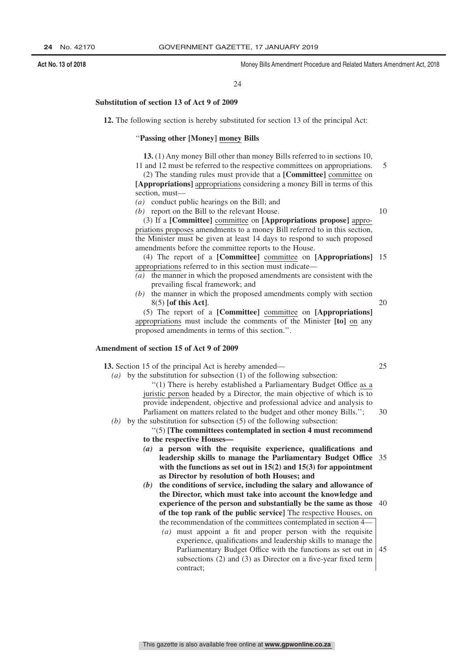#### 24

#### **Substitution of section 13 of Act 9 of 2009**

**12.** The following section is hereby substituted for section 13 of the principal Act:

#### ''**Passing other [Money] money Bills**

**13.** (1) Any money Bill other than money Bills referred to in sections 10, 11 and 12 must be referred to the respective committees on appropriations.

(2) The standing rules must provide that a **[Committee]** committee on **[Appropriations]** appropriations considering a money Bill in terms of this section, must—

*(a)* conduct public hearings on the Bill; and

*(b)* report on the Bill to the relevant House.

10

5

(3) If a **[Committee]** committee on **[Appropriations propose]** appropriations proposes amendments to a money Bill referred to in this section, the Minister must be given at least 14 days to respond to such proposed amendments before the committee reports to the House.

(4) The report of a **[Committee]** committee on **[Appropriations]** 15 appropriations referred to in this section must indicate—

- *(a)* the manner in which the proposed amendments are consistent with the prevailing fiscal framework; and
- *(b)* the manner in which the proposed amendments comply with section 8(5) **[of this Act]**. 20

(5) The report of a **[Committee]** committee on **[Appropriations]** appropriations must include the comments of the Minister **[to]** on any proposed amendments in terms of this section.''.

#### **Amendment of section 15 of Act 9 of 2009**

**13.** Section 15 of the principal Act is hereby amended—

 $25$ 

30

- *(a)* by the substitution for subsection (1) of the following subsection: ''(1) There is hereby established a Parliamentary Budget Office as a juristic person headed by a Director, the main objective of which is to provide independent, objective and professional advice and analysis to Parliament on matters related to the budget and other money Bills.";
- *(b)* by the substitution for subsection (5) of the following subsection:

''(5) **[The committees contemplated in section 4 must recommend to the respective Houses—**

- *(a)* **a person with the requisite experience, qualifications and leadership skills to manage the Parliamentary Budget Office** 35 **with the functions as set out in 15(2) and 15(3) for appointment as Director by resolution of both Houses; and**
- *(b)* **the conditions of service, including the salary and allowance of the Director, which must take into account the knowledge and experience of the person and substantially be the same as those** 40 **of the top rank of the public service]** The respective Houses, on the recommendation of the committees contemplated in section 4—
	- *(a)* must appoint a fit and proper person with the requisite experience, qualifications and leadership skills to manage the Parliamentary Budget Office with the functions as set out in subsections (2) and (3) as Director on a five-year fixed term contract; 45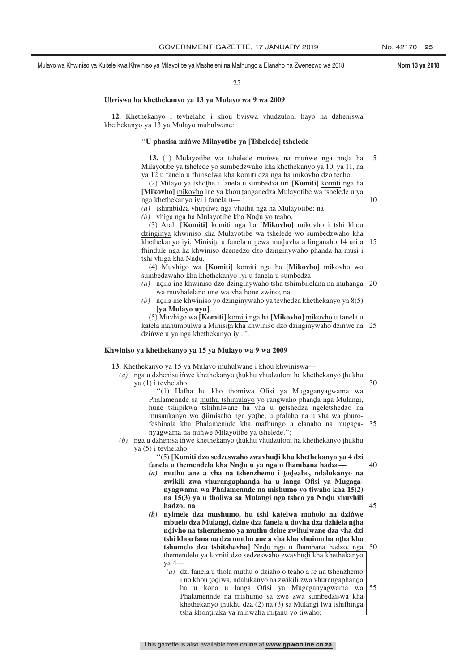#### 25

#### **Ubviswa ha khethekanyo ya 13 ya Mulayo wa 9 wa 2009**

**12.** Khethekanyo i tevhelaho i khou bviswa vhudzuloni hayo ha dzheniswa khethekanyo ya 13 ya Mulayo muhulwane:

#### ''**U phasisa min˙ we Milayotibe ya [Tshelede] tshelede**

13.  $(1)$  Mulayotibe wa tshelede munive na munive nga nnda ha hayotibe ya tshelede ya sumbedziwaba kha khathakanya ya  $10$  ya  $11$  na Milayotibe ya tshelede yo sumbedzwaho kha khethekanyo ya 10, ya 11, na ya 12 u fanela u fhiriselwa kha komiti dza nga ha mikovho dzo teaho. 5

(2) Milayo ya tshothe i fanela u sumbedza uri **[Komiti]** komiti nga ha<br>**Jikoxhol** mikoybo ina ya khou tanganedza Mulayotibe wa tshelede u ya [Mikovho] mikovho ine ya khou tanganedza Mulayotibe wa tshelede u ya<br>nga khethekanyo ivi i fanela u nga khethekanyo iyi i fanela u—

*(a)* tshimbidza vhupfiwa nga vhathu nga ha Mulayotibe; na

*(b)* vhiga nga ha Mulayotibe kha Nndu yo teaho.<br>(3) Arali **[Komiti]** komiti nga ha **[Mikovho**]

(3) Arali **[Komiti]** komiti nga ha **[Mikovho]** mikovho i tshi khou dzinginya khwiniso kha Mulayotibe wa tshelede wo sumbedzwaho kha khethekanyo iyi, Minisita u fanela u newa maduvha a linganaho 14 uri a 15<br>fhindule nga ha khwiniso dzenedzo dzo dzinginywaho phanda ha musi i fhindule nga ha khwiniso dzenedzo dzo dzinginywaho phanda ha musi i tshi vhiga kha Nndu.<br>(4) Muyhigo wa

(4) Muvhigo wa **[Komiti]** komiti nga ha **[Mikovho]** mikovho wo sumbedzwaho kha khethekanyo iyi u fanela u sumbedza-

- (a) ndila ine khwiniso dzo dzinginywaho tsha tshimbilelana na muhanga 20 ˆ wa muvhalelano une wa vha hone zwino; na
- (b) ndila ine khwiniso yo dzinginywaho ya tevhedza khethekanyo ya 8(5) ˆ **[ya Mulayo uyu]**.

(5) Muvhigo wa **[Komiti]** komiti nga ha **[Mikovho]** mikovho u fanela u katela mahumbulwa a Minisita kha khwiniso dzo dzinginywaho dzinwe na 25<br>dzinwe u va nga khethekanyo ivi '' dzinwe u ya nga khethekanyo iyi.".

#### **Khwiniso ya khethekanyo ya 15 ya Mulayo wa 9 wa 2009**

**13.** Khethekanyo ya 15 ya Mulayo muhulwane i khou khwiniswa—

(a) nga u dzhenisa inwe khethekanyo <u>thukhu vhudzuloni ha khethekanyo thukhu</u><br>va (1) i teyhelaho: ya (1) i tevhelaho: 30

''(1) Hafha hu kho thomiwa Ofisi ya Mugaganyagwama wa Phalamennde sa <u>muthu tshimulayo</u> yo rangwaho phanda nga Mulangi,<br>hung tshinikwa tshihulwane ha yha u netshedza ngeletshedzo, na hune tshipikwa tshihulwane ha vha u netshedza ngeletshedzo na musaukanyo wo diimisaho nga yothe u n<sup>f</sup>alaho na u yha wa phuromusaukanyo wo diimisaho nga yothe, u pfalaho na u vha wa phuro-<br>feshinala kha Phalamennde kha mafhungo a elanaho na mugagafeshinala kha Phalamennde kha mafhungo a elanaho na mugaga-35 nyagwama na minwe Milayotibe ya tshelede.";

(b) nga u dzhenisa inwe khethekanyo <u>thukhu vhudzuloni ha khethekanyo thukhu</u><br>va (5) i teyhelaho: ya (5) i tevhelaho:

> "(5) **[Komiti dzo sedzeswaho zwavhudi kha khethekanyo ya 4 dzi**<br>nela u themendela kha Nndu u ya nga u fhambana hadzo **fanela u themendela kha Nnd̯u u ya nga u fhambana hadzo—<br>(a) muthu ang a yba na tshanzhamo i todeaho, ndalukani**

- *(a)* **muthu ane a vha na tshenzhemo i <sup>ˆ</sup> todˆ eaho, ndalukanyo na** zwikili zwa vhurangaphanda ha u langa Ofisi ya Mugaga-<br>nyagwama wa Phalamennde na mishumo yo tiwabo kha 1502 **nyagwama wa Phalamennde na mishumo yo tiwaho kha 15(2)** na 15(3) ya u tholiwa sa Mulangi nga tsheo ya Nnd̥u vhuvhili<br>hadzo: na **hadzo; na**
- *(b)* **nyimele dza mushumo, hu tshi katelwa muholo na dzin˙ we** mbuelo dza Mulangi, dzine dza fanela u dovha dza dzhiela n<u>t</u>ha<br>pdiybo na tshanzhemo va muthu dzine zwihulwane dza yba dzi **ndˆ ivho na tshenzhemo ya muthu dzine zwihulwane dza vha dzi tshi khou fana na dza muthu ane a vha kha vhuimo ha ntha kha<br><b>tshumelo, dza, tshitshavhal**, Nndu, nga, u, fhambana, hadzo, nga **tshumelo dza tshitshavha**] Nndu nga u fhambana hadzo, nga<br>themendelo va komiti dzo sedzeswaho zwaybudi kha khethekanyo themendelo ya komiti dzo sedzeswaho zwavhudi kha khethekanyo ya 4— 50
	- *(a)* dzi fanela u thola muthu o dziaho o teaho a re na tshenzhemo i no khou todiwa, ndalukanyo na zwikili zwa vhurangaphanda<br>ha uu kona uu Janga Ofisi ya Mugaganyagwama wa ha u kona u langa Ofisi ya Mugaganyagwama wa Phalamennde na mishumo sa zwe zwa sumbedziswa kha khethekanyo thukhu dza (2) na (3) sa Mulangi lwa tshifhinga<br>tsha khontiraka ya minwaha mitanu yo tiwaho: tsha khonţiraka ya miṅ̀waha miţanu yo tiwaho; 55

10

40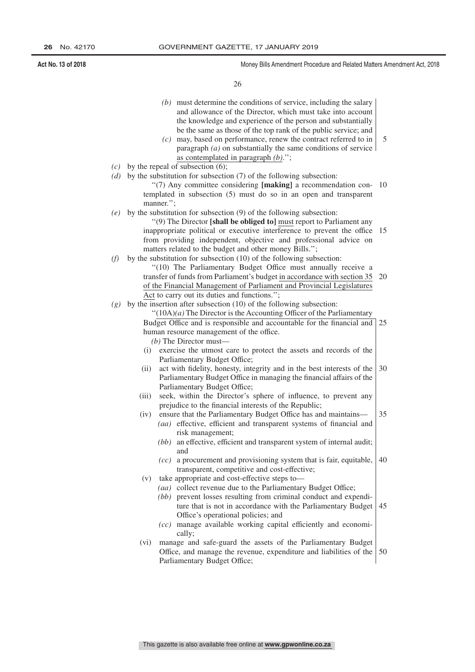26

- *(b)* must determine the conditions of service, including the salary and allowance of the Director, which must take into account the knowledge and experience of the person and substantially be the same as those of the top rank of the public service; and
- *(c)* may, based on performance, renew the contract referred to in paragraph *(a)* on substantially the same conditions of service as contemplated in paragraph *(b)*.''; 5
- *(c)* by the repeal of subsection (6);
- *(d)* by the substitution for subsection (7) of the following subsection:
	- ''(7) Any committee considering **[making]** a recommendation con-10 templated in subsection (5) must do so in an open and transparent manner.'';
- *(e)* by the substitution for subsection (9) of the following subsection:

''(9) The Director **[shall be obliged to]** must report to Parliament any inappropriate political or executive interference to prevent the office 15 from providing independent, objective and professional advice on matters related to the budget and other money Bills.'';

*(f)* by the substitution for subsection (10) of the following subsection:

"(10) The Parliamentary Budget Office must annually receive a transfer of funds from Parliament's budget in accordance with section 35 of the Financial Management of Parliament and Provincial Legislatures Act to carry out its duties and functions.''; 20

*(g)* by the insertion after subsection (10) of the following subsection:

''(10A)*(a)* The Director is the Accounting Officer of the Parliamentary Budget Office and is responsible and accountable for the financial and human resource management of the office. *(b)* The Director must— 25

- (i) exercise the utmost care to protect the assets and records of the Parliamentary Budget Office;
- (ii) act with fidelity, honesty, integrity and in the best interests of the Parliamentary Budget Office in managing the financial affairs of the Parliamentary Budget Office; 30
- (iii) seek, within the Director's sphere of influence, to prevent any prejudice to the financial interests of the Republic;
- (iv) ensure that the Parliamentary Budget Office has and maintains— *(aa)* effective, efficient and transparent systems of financial and 35
	- risk management; *(bb)* an effective, efficient and transparent system of internal audit; and
	- *(cc)* a procurement and provisioning system that is fair, equitable, transparent, competitive and cost-effective; 40
- (v) take appropriate and cost-effective steps to—
	- *(aa)* collect revenue due to the Parliamentary Budget Office;
	- *(bb)* prevent losses resulting from criminal conduct and expenditure that is not in accordance with the Parliamentary Budget Office's operational policies; and 45
	- *(cc)* manage available working capital efficiently and economically;
- (vi) manage and safe-guard the assets of the Parliamentary Budget Office, and manage the revenue, expenditure and liabilities of the Parliamentary Budget Office; 50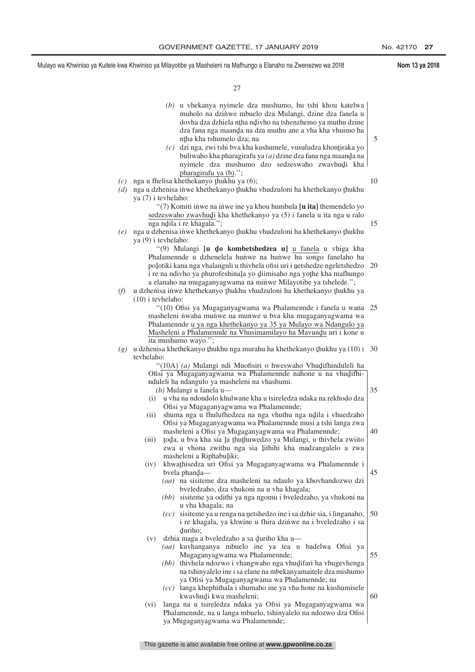|            | (b) u vhekanya nyimele dza mushumo, hu tshi khou katelwa<br>muholo na dzinwe mbuelo dza Mulangi, dzine dza fanela u<br>dovha dza dzhiela ntha ndivho na tshenzhemo ya muthu dzine                                                                                                                                                                                                                                                                 |    |
|------------|---------------------------------------------------------------------------------------------------------------------------------------------------------------------------------------------------------------------------------------------------------------------------------------------------------------------------------------------------------------------------------------------------------------------------------------------------|----|
|            | dza fana nga maanda na dza muthu ane a vha kha vhuimo ha<br>ntha kha tshumelo dza; na<br>dzi nga, zwi tshi bva kha kushumele, vusuludza khontiraka yo<br>(c)<br>buliwaho kha pharagirafu ya $(a)$ dzine dza fana nga maanda na<br>nyimele dza mushumo dzo sedzeswaho zwavhudi kha                                                                                                                                                                 | 5  |
| (c)<br>(d) | pharagirafu ya (b).";<br>nga u fhelisa khethekanyo thukhu ya (6);<br>nga u dzhenisa inwe khethekanyo thukhu vhudzuloni ha khethekanyo thukhu                                                                                                                                                                                                                                                                                                      | 10 |
|            | ya (7) i tevhelaho:<br>"(7) Komiti inwe na inwe ine ya khou humbula [u ita] themendelo yo<br>sedzeswaho zwavhudi kha khethekanyo ya (5) i fanela u ita nga u ralo<br>nga ndila i re khagala.";                                                                                                                                                                                                                                                    | 15 |
| (e)        | nga u dzhenisa inwe khethekanyo thukhu vhudzuloni ha khethekanyo thukhu<br>ya (9) i tevhelaho:                                                                                                                                                                                                                                                                                                                                                    |    |
| (f)        | "(9) Mulangi [u do kombetshedzea u] u fanela u vhiga kha<br>Phalamennde u dzhenelela hunwe na hunwe hu songo fanelaho ha<br>poļotiki kana nga vhalanguli u thivhela ofisi uri i ņetshedze ngeletshedzo<br>i re na ndivho ya phurofeshinala yo diimisaho nga yothe kha mafhungo<br>a elanaho na mugaganyagwama na minwe Milayotibe ya tshelede.";<br>u dzhenisa inwe khethekanyo thukhu vhudzuloni ha khethekanyo thukhu ya<br>$(10)$ i teyhelaho: | 20 |
|            | "(10) Ofisi ya Mugaganyagwama wa Phalamennde i fanela u wana<br>masheleni nwaha munwe na munwe u bva kha mugaganyagwama wa<br>Phalamennde u ya nga khethekanyo ya 35 ya Mulayo wa Ndangulo ya<br>Masheleni a Phalamennde na Vhusimamilayo ha Mavundu uri i kone u                                                                                                                                                                                 | 25 |
| (g)        | ita mushumo wayo.";<br>u dzhenisa khethekanyo thukhu nga murahu ha khethekanyo thukhu ya (10) i 30<br>tevhelaho:                                                                                                                                                                                                                                                                                                                                  |    |
|            | "(10A) (a) Mulangi ndi Muofisiri o hweswaho Vhudifhinduleli ha<br>Ofisi ya Mugaganyagwama wa Phalamennde nahone u na vhudifhi-<br>nduleli ha ndangulo ya masheleni na vhashumi.<br>$(b)$ Mulangi u fanela u—<br>u vha na ndondolo khulwane kha u tsireledza ndaka na rekhodo dza<br>(i)                                                                                                                                                           | 35 |
|            | Ofisi ya Mugaganyagwama wa Phalamennde;<br>shuma nga u fhulufhedzea na nga vhuthu nga ndila i vhuedzaho<br>(ii)<br>Ofisi ya Mugaganyagwama wa Phalamennde musi a tshi langa zwa<br>masheleni a Ofisi ya Mugaganyagwama wa Phalamennde;<br>toda, u bva kha sia la thuthuwedzo ya Mulangi, u thivhela zwiito<br>(iii)<br>zwa u vhona zwithu nga sia lithihi kha madzangalelo a zwa                                                                  | 40 |
|            | masheleni a Riphabuļiki;<br>khwathisedza uri Ofisi ya Mugaganyagwama wa Phalamennde i<br>(iv)<br>bvela phanda—<br>(aa) na sisiteme dza masheleni na ndaulo ya khovhandozwo dzi<br>bveledzaho, dza vhukoni na u vha khagala;                                                                                                                                                                                                                       | 45 |
|            | (bb) sisiteme ya odithi ya nga ngomu i bveledzaho, ya vhukoni na<br>u vha khagala; na<br>sisiteme ya u renga na netshedzo ine i sa dzhie sia, i linganaho,<br>(cc)<br>i re khagala, ya khwine u fhira dzinwe na i bveledzaho i sa<br>duriho;                                                                                                                                                                                                      | 50 |
|            | dzhia maga a bveledzaho a sa duriho kha u—<br>(v)<br>(aa) kuvhanganya mbuelo ine ya tea u badelwa Ofisi ya<br>Mugaganyagwama wa Phalamennde;<br>(bb) thivhela ndozwo i vhangwaho nga vhudifari ha vhugevhenga<br>na tshinyalelo ine i sa elane na mbekanyamaitele dza mishumo                                                                                                                                                                     | 55 |
|            | ya Ofisi ya Mugaganyagwama wa Phalamennde; na<br>$(cc)$ langa khephithala i shumaho ine ya vha hone na kushumisele<br>kwavhudi kwa masheleni;<br>langa na u tsireledza ndaka ya Ofisi ya Mugaganyagwama wa<br>(vi)<br>Phalamennde, na u langa mbuelo, tshinyalelo na ndozwo dza Ofisi<br>ya Mugaganyagwama wa Phalamennde;                                                                                                                        | 60 |
|            |                                                                                                                                                                                                                                                                                                                                                                                                                                                   |    |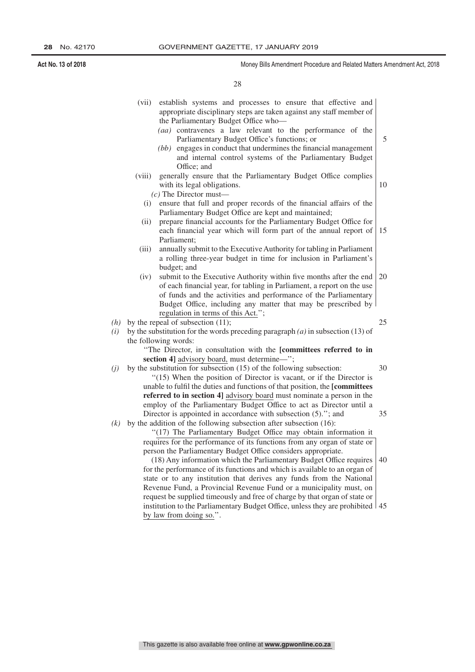**Act No. 13 of 2018** Money Bills Amendment Procedure and Related Matters Amendment Act, 2018

28

|     | (vii)                                                                             | establish systems and processes to ensure that effective and<br>appropriate disciplinary steps are taken against any staff member of                  |    |  |
|-----|-----------------------------------------------------------------------------------|-------------------------------------------------------------------------------------------------------------------------------------------------------|----|--|
|     |                                                                                   | the Parliamentary Budget Office who-<br>(aa) contravenes a law relevant to the performance of the<br>Parliamentary Budget Office's functions; or      | 5  |  |
|     |                                                                                   | engages in conduct that undermines the financial management<br>(bb)<br>and internal control systems of the Parliamentary Budget<br>Office; and        |    |  |
|     | (viii)                                                                            | generally ensure that the Parliamentary Budget Office complies                                                                                        |    |  |
|     |                                                                                   | with its legal obligations.                                                                                                                           | 10 |  |
|     |                                                                                   | $(c)$ The Director must—                                                                                                                              |    |  |
|     | (i)                                                                               | ensure that full and proper records of the financial affairs of the                                                                                   |    |  |
|     | (ii)                                                                              | Parliamentary Budget Office are kept and maintained;<br>prepare financial accounts for the Parliamentary Budget Office for                            |    |  |
|     |                                                                                   | each financial year which will form part of the annual report of                                                                                      | 15 |  |
|     |                                                                                   | Parliament;                                                                                                                                           |    |  |
|     | (iii)                                                                             | annually submit to the Executive Authority for tabling in Parliament                                                                                  |    |  |
|     |                                                                                   | a rolling three-year budget in time for inclusion in Parliament's                                                                                     |    |  |
|     |                                                                                   | budget; and                                                                                                                                           |    |  |
|     | (iv)                                                                              | submit to the Executive Authority within five months after the end                                                                                    | 20 |  |
|     |                                                                                   | of each financial year, for tabling in Parliament, a report on the use                                                                                |    |  |
|     |                                                                                   | of funds and the activities and performance of the Parliamentary                                                                                      |    |  |
|     |                                                                                   | Budget Office, including any matter that may be prescribed by                                                                                         |    |  |
|     |                                                                                   | regulation in terms of this Act.";                                                                                                                    |    |  |
| (h) |                                                                                   | by the repeal of subsection $(11)$ ;                                                                                                                  | 25 |  |
| (i) | by the substitution for the words preceding paragraph $(a)$ in subsection (13) of |                                                                                                                                                       |    |  |
|     |                                                                                   | the following words:                                                                                                                                  |    |  |
|     |                                                                                   | "The Director, in consultation with the [committees referred to in                                                                                    |    |  |
|     |                                                                                   | section 4] advisory board, must determine—";                                                                                                          |    |  |
| (j) |                                                                                   | by the substitution for subsection (15) of the following subsection:                                                                                  | 30 |  |
|     |                                                                                   | "(15) When the position of Director is vacant, or if the Director is                                                                                  |    |  |
|     |                                                                                   | unable to fulfil the duties and functions of that position, the [committees<br>referred to in section 4] advisory board must nominate a person in the |    |  |
|     |                                                                                   | employ of the Parliamentary Budget Office to act as Director until a                                                                                  |    |  |
|     |                                                                                   | Director is appointed in accordance with subsection (5)."; and                                                                                        | 35 |  |
| (k) |                                                                                   | by the addition of the following subsection after subsection (16):                                                                                    |    |  |
|     |                                                                                   | "(17) The Parliamentary Budget Office may obtain information it                                                                                       |    |  |
|     |                                                                                   | requires for the performance of its functions from any organ of state or                                                                              |    |  |
|     |                                                                                   | person the Parliamentary Budget Office considers appropriate.                                                                                         |    |  |
|     |                                                                                   | (18) Any information which the Parliamentary Budget Office requires                                                                                   | 40 |  |
|     |                                                                                   | for the performance of its functions and which is available to an organ of                                                                            |    |  |
|     |                                                                                   | state or to any institution that derives any funds from the National                                                                                  |    |  |
|     |                                                                                   | Revenue Fund, a Provincial Revenue Fund or a municipality must, on                                                                                    |    |  |
|     |                                                                                   | request be supplied timeously and free of charge by that organ of state or                                                                            |    |  |

institution to the Parliamentary Budget Office, unless they are prohibited 45by law from doing so.".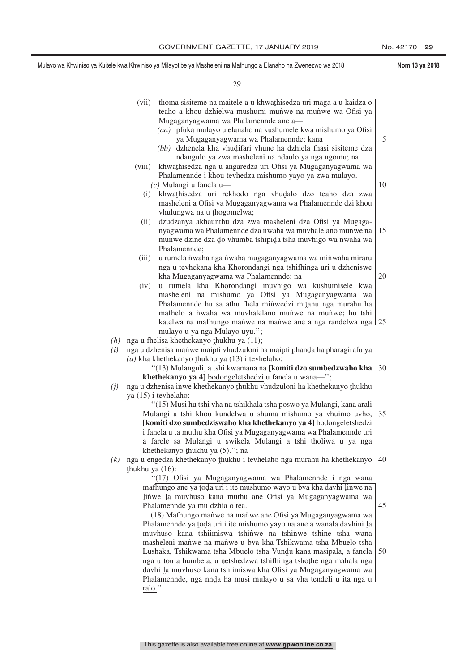|            | (vii)<br>(bb)                                                                                                                                                                                                                                                                                               | thoma sisiteme na maitele a u khwathisedza uri maga a u kaidza o<br>teaho a khou dzhielwa mushumi munwe na munwe wa Ofisi ya<br>Mugaganyagwama wa Phalamennde ane a-<br>(aa) pfuka mulayo u elanaho na kushumele kwa mishumo ya Ofisi<br>ya Mugaganyagwama wa Phalamennde; kana<br>dzhenela kha vhudifari vhune ha dzhiela fhasi sisiteme dza<br>ndangulo ya zwa masheleni na ndaulo ya nga ngomu; na                                                                                                                                                                                                                                                                                                                                                                                       | 5        |  |
|------------|-------------------------------------------------------------------------------------------------------------------------------------------------------------------------------------------------------------------------------------------------------------------------------------------------------------|---------------------------------------------------------------------------------------------------------------------------------------------------------------------------------------------------------------------------------------------------------------------------------------------------------------------------------------------------------------------------------------------------------------------------------------------------------------------------------------------------------------------------------------------------------------------------------------------------------------------------------------------------------------------------------------------------------------------------------------------------------------------------------------------|----------|--|
|            | (viii)<br>(i)                                                                                                                                                                                                                                                                                               | khwathisedza nga u angaredza uri Ofisi ya Mugaganyagwama wa<br>Phalamennde i khou tevhedza mishumo yayo ya zwa mulayo.<br>$(c)$ Mulangi u fanela u-<br>khwathisedza uri rekhodo nga vhudalo dzo teaho dza zwa<br>masheleni a Ofisi ya Mugaganyagwama wa Phalamennde dzi khou                                                                                                                                                                                                                                                                                                                                                                                                                                                                                                                | 10       |  |
|            | (ii)                                                                                                                                                                                                                                                                                                        | vhulungwa na u thogomelwa;<br>dzudzanya akhaunthu dza zwa masheleni dza Ofisi ya Mugaga-<br>nyagwama wa Phalamennde dza nwaha wa muvhalelano munwe na<br>munwe dzine dza do vhumba tshipida tsha muvhigo wa nwaha wa                                                                                                                                                                                                                                                                                                                                                                                                                                                                                                                                                                        | 15       |  |
|            | (iii)<br>(iv)                                                                                                                                                                                                                                                                                               | Phalamennde;<br>u rumela nwaha nga nwaha mugaganyagwama wa minwaha miraru<br>nga u tevhekana kha Khorondangi nga tshifhinga uri u dzheniswe<br>kha Mugaganyagwama wa Phalamennde; na<br>u rumela kha Khorondangi muvhigo wa kushumisele kwa                                                                                                                                                                                                                                                                                                                                                                                                                                                                                                                                                 | 20       |  |
|            |                                                                                                                                                                                                                                                                                                             | masheleni na mishumo ya Ofisi ya Mugaganyagwama wa<br>Phalamennde hu sa athu fhela minwedzi mitanu nga murahu ha<br>mafhelo a nwaha wa muvhalelano munwe na munwe; hu tshi<br>katelwa na mafhungo manwe na manwe ane a nga randelwa nga 25<br>mulayo u ya nga Mulayo uyu.";                                                                                                                                                                                                                                                                                                                                                                                                                                                                                                                 |          |  |
| (h)<br>(i) | nga u fhelisa khethekanyo thukhu ya (11);<br>nga u dzhenisa manwe maipfi vhudzuloni ha maipfi phanda ha pharagirafu ya<br>$(a)$ kha khethekanyo thukhu ya $(13)$ i tevhelaho:<br>"(13) Mulanguli, a tshi kwamana na [komiti dzo sumbedzwaho kha 30<br>khethekanyo ya 4] bodongeletshedzi u fanela u wana-"; |                                                                                                                                                                                                                                                                                                                                                                                                                                                                                                                                                                                                                                                                                                                                                                                             |          |  |
| (j)        | ya (15) i tevhelaho:                                                                                                                                                                                                                                                                                        | nga u dzhenisa inwe khethekanyo thukhu vhudzuloni ha khethekanyo thukhu<br>"(15) Musi hu tshi vha na tshikhala tsha poswo ya Mulangi, kana arali<br>Mulangi a tshi khou kundelwa u shuma mishumo ya vhuimo uvho,<br>[komiti dzo sumbedziswaho kha khethekanyo ya 4] bodongeletshedzi<br>i fanela u ta muthu kha Ofisi ya Mugaganyagwama wa Phalamennde uri                                                                                                                                                                                                                                                                                                                                                                                                                                  | 35       |  |
| (k)        |                                                                                                                                                                                                                                                                                                             | a farele sa Mulangi u swikela Mulangi a tshi tholiwa u ya nga<br>khethekanyo thukhu ya (5)."; na<br>nga u engedza khethekanyo thukhu i tevhelaho nga murahu ha khethekanyo                                                                                                                                                                                                                                                                                                                                                                                                                                                                                                                                                                                                                  | 40       |  |
|            | thukhu ya (16):<br>ralo.".                                                                                                                                                                                                                                                                                  | "(17) Ofisi ya Mugaganyagwama wa Phalamennde i nga wana<br>mafhungo ane ya toda uri i ite mushumo wayo u bva kha davhi linwe na<br>linwe la muvhuso kana muthu ane Ofisi ya Mugaganyagwama wa<br>Phalamennde ya mu dzhia o tea.<br>(18) Mafhungo manwe na manwe ane Ofisi ya Mugaganyagwama wa<br>Phalamennde ya toda uri i ite mishumo yayo na ane a wanala davhini la<br>muvhuso kana tshiimiswa tshinwe na tshinwe tshine tsha wana<br>masheleni manwe na manwe u bva kha Tshikwama tsha Mbuelo tsha<br>Lushaka, Tshikwama tsha Mbuelo tsha Vundu kana masipala, a fanela<br>nga u tou a humbela, u netshedzwa tshifhinga tshothe nga mahala nga<br>davhi la muvhuso kana tshiimiswa kha Ofisi ya Mugaganyagwama wa<br>Phalamennde, nga nnda ha musi mulayo u sa vha tendeli u ita nga u | 45<br>50 |  |
|            |                                                                                                                                                                                                                                                                                                             |                                                                                                                                                                                                                                                                                                                                                                                                                                                                                                                                                                                                                                                                                                                                                                                             |          |  |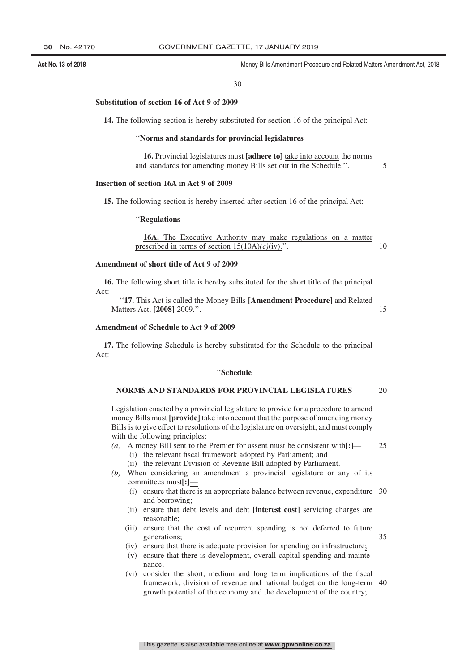#### 30

#### **Substitution of section 16 of Act 9 of 2009**

**14.** The following section is hereby substituted for section 16 of the principal Act:

#### ''**Norms and standards for provincial legislatures**

**16.** Provincial legislatures must **[adhere to]** take into account the norms and standards for amending money Bills set out in the Schedule.''.

#### **Insertion of section 16A in Act 9 of 2009**

**15.** The following section is hereby inserted after section 16 of the principal Act:

#### ''**Regulations**

**16A.** The Executive Authority may make regulations on a matter prescribed in terms of section 15(10A)*(c)*(iv).''. 10

#### **Amendment of short title of Act 9 of 2009**

**16.** The following short title is hereby substituted for the short title of the principal Act:

''**17.** This Act is called the Money Bills **[Amendment Procedure]** and Related Matters Act, **[2008]** 2009.''.

#### **Amendment of Schedule to Act 9 of 2009**

**17.** The following Schedule is hereby substituted for the Schedule to the principal Act:

#### ''**Schedule**

#### **NORMS AND STANDARDS FOR PROVINCIAL LEGISLATURES** 20

Legislation enacted by a provincial legislature to provide for a procedure to amend money Bills must **[provide]** take into account that the purpose of amending money Bills is to give effect to resolutions of the legislature on oversight, and must comply with the following principles:

25

5

15

- *(a)* A money Bill sent to the Premier for assent must be consistent with**[:]** (i) the relevant fiscal framework adopted by Parliament; and (ii) the relevant Division of Revenue Bill adopted by Parliament.
- *(b)* When considering an amendment a provincial legislature or any of its committees must**[:]**—
	- (i) ensure that there is an appropriate balance between revenue, expenditure 30 and borrowing;
	- (ii) ensure that debt levels and debt **[interest cost]** servicing charges are reasonable;
	- (iii) ensure that the cost of recurrent spending is not deferred to future generations;
	- (iv) ensure that there is adequate provision for spending on infrastructure;
	- (v) ensure that there is development, overall capital spending and maintenance;
	- (vi) consider the short, medium and long term implications of the fiscal framework, division of revenue and national budget on the long-term 40growth potential of the economy and the development of the country;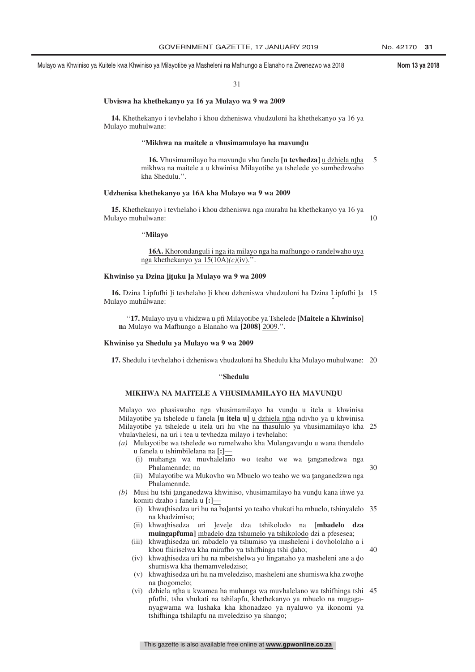30

31

#### **Ubviswa ha khethekanyo ya 16 ya Mulayo wa 9 wa 2009**

**14.** Khethekanyo i tevhelaho i khou dzheniswa vhudzuloni ha khethekanyo ya 16 ya Mulayo muhulwane:

# ''**Mikhwa na maitele a vhusimamulayo ha mavundˆ u**

**16.** Vhusimamilayo ha mavundu vhu fanela [**u tevhedza**] <u>u dzhiela ntha</u><br>khwa na maitele a u khwinisa Milayotibe va tshelede vo sumbedzwaho mikhwa na maitele a u khwinisa Milayotibe ya tshelede yo sumbedzwaho kha Shedulu.''. 5

#### **Udzhenisa khethekanyo ya 16A kha Mulayo wa 9 wa 2009**

**15.** Khethekanyo i tevhelaho i khou dzheniswa nga murahu ha khethekanyo ya 16 ya Mulayo muhulwane: 10

''**Milayo**

#### **16A.** Khorondanguli i nga ita milayo nga ha mafhungo o randelwaho uya nga khethekanyo ya 15(10A)*(c)*(iv).''.

# **Khwiniso ya Dzina <sup>ˆ</sup> liˆ tuku <sup>ˆ</sup> la Mulayo wa 9 wa 2009**

**16.** Dzina Lipfufhi li tevhelaho li khou dzheniswa vhudzuloni ha Dzina Lipfufhi la 15<br>ulayo muhulwane: Mulayo muhulwane: ˆ

''**17.** Mulayo uyu u vhidzwa u pfi Milayotibe ya Tshelede **[Maitele a Khwiniso] n**a Mulayo wa Mafhungo a Elanaho wa **[2008]** 2009.''.

#### **Khwiniso ya Shedulu ya Mulayo wa 9 wa 2009**

**17.** Shedulu i tevhelaho i dzheniswa vhudzuloni ha Shedulu kha Mulayo muhulwane: 20

#### ''**Shedulu**

# MIKHWA NA MAITELE A VHUSIMAMILAYO HA MAVUN<mark>D</mark>U

Mulayo wo phasiswaho nga vhusimamilayo ha vundu u itela u khwinisa<br>Milayotibe ya tshelede u fanela f**u itela ul** u dzhiela ntha ndiybo ya u khwinisa Milayotibe ya tshelede u fanela **[u itela u]** u dzhiela ntha ndivho ya u khwinisa<br>Milayotibe ya tshelede u itela uri bu ybe na thasululo ya yhusimamilayo kha Milayotibe ya tshelede u itela uri hu vhe na thasululo ya vhusimamilayo kha 25 vhulavhelesi, na uri i tea u tevhedza milayo i tevhelaho:

- *(a)* Mulayotibe wa tshelede wo rumelwaho kha Mulangavundu u wana thendelo<br>u fanela u tshimbilelana na [·**]** u fanela u tshimbilelana na **[:]**—
	- (i) muhanga wa muvhalelano wo teaho we wa tanganedzwa nga<br>Phalamennde na Phalamennde; na
	- (ii) Mulayotibe wa Mukovho wa Mbuelo wo teaho we wa tanganedzwa nga<br>Phalamennde Phalamennde.
- (b) Musi hu tshi tanganedzwa khwiniso, vhusimamilayo ha vundu kana inwe ya<br>komiti dzaho i fanela u **[**·**]** komiti dzaho i fanela u **[:]**—
	- (i) khwathisedza uri hu na balantsi yo teaho vhukati ha mbuelo, tshinyalelo 35 na khadzimiso: na khadzimiso;
	- (ii) khwathisedza uri <u>levele</u> dza tshikolodo na **[mbadelo dza**<br> **mujnganfumal** mbadelo dza tshumelo va tshikolodo dzi a nfesesea: **muingapfuma]** mbadelo dza tshumelo ya tshikolodo dzi a pfesesea;
	- (iii) khwathisedza uri mbadelo ya tshumiso ya masheleni i dovhololaho a i<br>khou fhiriselwa kha mirafho ya tshifhinga tshi daho: khou fhiriselwa kha mirafho ya tshifhinga tshi daho;<br>khwathisedza uri hu na mbetshelwa yo linganaho ya 40
	- (iv) khwathisedza uri hu na mbetshelwa yo linganaho ya masheleni ane a do shumiswa kha themamveledziso: shumiswa kha themamveledziso;
	- (v) khwat hisedza uri hu na mveledziso, masheleni ane shumiswa kha zwot he na thomomelo: na thogomelo;<br>dzhiela ntha u
	- (vi) dzhiela nțha u kwamea ha muhanga wa muvhalelano wa tshiftinga tshi 45<br>
	prințini tsha vhukati na tshilantu, khethekanyo va mbuelo na mugagapfufhi, tsha vhukati na tshilapfu, khethekanyo ya mbuelo na mugaganyagwama wa lushaka kha khonadzeo ya nyaluwo ya ikonomi ya tshifhinga tshilapfu na mveledziso ya shango;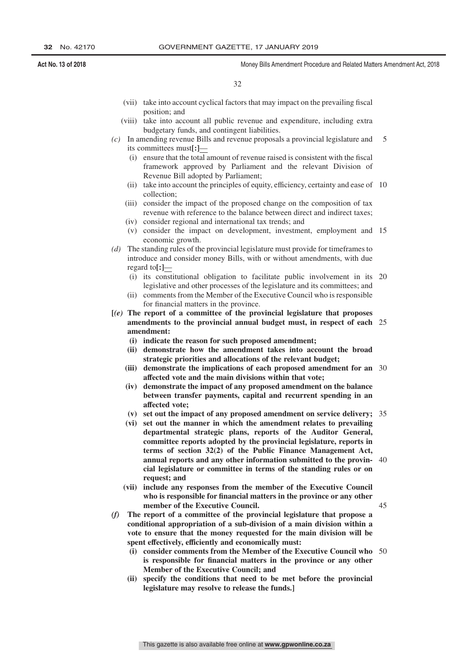45

- (vii) take into account cyclical factors that may impact on the prevailing fiscal position; and
- (viii) take into account all public revenue and expenditure, including extra budgetary funds, and contingent liabilities.
- *(c)* In amending revenue Bills and revenue proposals a provincial legislature and its committees must**[:]**— 5
	- (i) ensure that the total amount of revenue raised is consistent with the fiscal framework approved by Parliament and the relevant Division of Revenue Bill adopted by Parliament;
	- (ii) take into account the principles of equity, efficiency, certainty and ease of 10 collection;
	- (iii) consider the impact of the proposed change on the composition of tax revenue with reference to the balance between direct and indirect taxes;
	- (iv) consider regional and international tax trends; and
	- (v) consider the impact on development, investment, employment and 15 economic growth.
- *(d)* The standing rules of the provincial legislature must provide for timeframes to introduce and consider money Bills, with or without amendments, with due regard to**[:]**—
	- (i) its constitutional obligation to facilitate public involvement in its legislative and other processes of the legislature and its committees; and 20
	- (ii) comments from the Member of the Executive Council who is responsible for financial matters in the province.
- **[***(e)* **The report of a committee of the provincial legislature that proposes amendments to the provincial annual budget must, in respect of each** 25 **amendment:**
	- **(i) indicate the reason for such proposed amendment;**
	- **(ii) demonstrate how the amendment takes into account the broad strategic priorities and allocations of the relevant budget;**
	- **(iii) demonstrate the implications of each proposed amendment for an** 30 **affected vote and the main divisions within that vote;**
	- **(iv) demonstrate the impact of any proposed amendment on the balance between transfer payments, capital and recurrent spending in an affected vote;**
	- **(v) set out the impact of any proposed amendment on service delivery;** 35
	- **(vi) set out the manner in which the amendment relates to prevailing departmental strategic plans, reports of the Auditor General, committee reports adopted by the provincial legislature, reports in terms of section 32(2) of the Public Finance Management Act, annual reports and any other information submitted to the provin-**40 **cial legislature or committee in terms of the standing rules or on request; and**
	- **(vii) include any responses from the member of the Executive Council who is responsible for financial matters in the province or any other member of the Executive Council.**
- *(f)* **The report of a committee of the provincial legislature that propose a conditional appropriation of a sub-division of a main division within a vote to ensure that the money requested for the main division will be spent effectively, efficiently and economically must:**
	- **(i) consider comments from the Member of the Executive Council who** 50**is responsible for financial matters in the province or any other Member of the Executive Council; and**
	- **(ii) specify the conditions that need to be met before the provincial legislature may resolve to release the funds.]**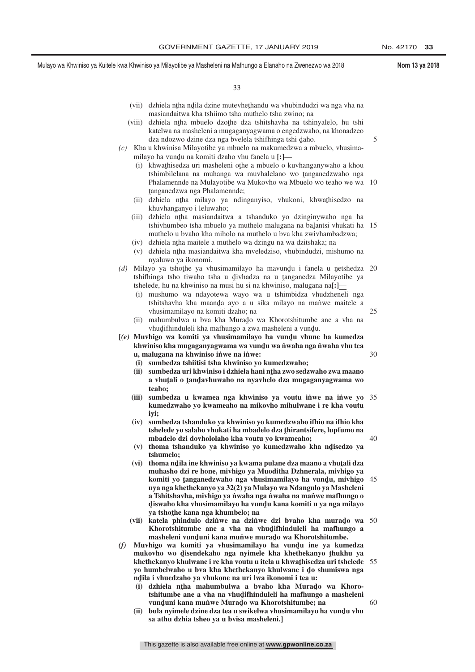5

25

30

40

60

- (vii) dzhiela nțha ndila dzine mutevhețhandu wa vhubindudzi wa nga vha na<br>masiandaitura kha tshiimo tsha muthelo tsha zwino: na masiandaitwa kha tshiimo tsha muthelo tsha zwino; na
- (viii) dzhiela nțha mbuelo dzoțhe dza tshitshavha na tshinyalelo, hu tshi katelwa na masheleni a mugaganyagwama o engedzwaho, na khonadzeo dza ndozwo dzine dza nga bvelela tshifhinga tshi daho.<br>u khwinisa Milayotibe va mbuelo na makumedzwa a m
- *(c)* Kha u khwinisa Milayotibe ya mbuelo na makumedzwa a mbuelo, vhusimamilayo ha vundu na komiti dzaho vhu fanela u  $\left[\cdot\right]$ — $\left(\cdot\right)$  khwathisedza uri masheleni othe a mbuelo o k
	- (i) khwathisedza uri masheleni othe a mbuelo o kuvhanganywaho a khou<br>thimbilelana na muhanga wa muyhalelano wo tanganedzwaho nga tshimbilelana na muhanga wa muvhalelano wo tanganedzwaho nga<br>Phalamannda na Mulayotibe wa Mukoybo wa Mbuelo wo taabo we wa Phalamennde na Mulayotibe wa Mukovho wa Mbuelo wo teaho we wa 10 tanganedzwa nga Phalamennde;
	- relation and milayo ya ndinganyiso, vhukoni, khwathisedzo na<br>tha milayo ya ndinganyiso, vhukoni, khwathisedzo na khuvhanganyo i leluwaho;
	- (iii) dzhiela nțha masiandaitwa a tshanduko yo dzinginywaho nga ha<br>tshiybumbeo tsha mbuelo ya muthelo malugana na halantsi yhukati ha tshivhumbeo tsha mbuelo ya muthelo malugana na balantsi vhukati ha 15<br>muthelo u hyaho kha miholo na muthelo u hya kha zwiyhambadzwa: muthelo u bvaho kha miholo na muthelo u bva kha zwivhambadzwa;
	- (iv) dzhiela nțha maitele a muthelo wa dzingu na wa dzitshaka; na  $(y)$  dzhiela ntha masiandaitwa kha myeledzica, yhubindudzi mie
	- (v) dzhiela ntha masiandaitwa kha mveledziso, vhubindudzi, mishumo na nyeluwo ya ikonomi nyaluwo ya ikonomi.
- *(d)* Milayo ya tshothe ya vhusimamilayo ha mavundu i fanela u netshedza tshifhinga tsho tiwaho tsha u divhadza na u tanganedza Milayotibe ya tshifhinga tsho tiwaho tsha u divhadza na u tanganedza Milayotibe ya<br>tshelede hu na khwiniso na musi hu si na khwiniso malugana na[1] tshelede, hu na khwiniso na musi hu si na khwiniso, malugana na**[:]**— 20
	- (i) mushumo wa ndayotewa wayo wa u tshimbidza vhudzheneli nga tshitshavha kha maanda ayo a u sika milayo na manwe maitele a<br>yhusimamilayo na komiti dzabo: na vhusimamilayo na komiti dzaho; na
	- (ii) mahumbulwa u bva kha Murado wa Khorotshitumbe ane a vha na whatifindulali kha mafhungo a zwa masheleni a vundu vhudifhinduleli kha mafhungo a zwa masheleni a vundu.<br>higo wa komiti ya vhusimamilayo ha vundu, yhung

**[(e)** Muvhigo wa komiti ya vhusimamilayo ha vundu vhune ha kumedza<br>
khwiniso kha mugaganyagwama wa yundu wa nwaha nga nwaha yhu taa khwiniso kha mugaganyagwama wa vundu wa nwaha nga nwaha vhu tea<br>u walugana na khwiniso inwa na inwa: u, malugana na khwiniso in*we* na inwe:

- **(i) sumbedza tshiitisi tsha khwiniso yo kumedzwaho;**
- **(ii)** sumbedza uri khwiniso i dzhiela hani nţha zwo sedzwaho zwa maano<br>
a xhutali o tandaxhuwaho na nyayhelo dza mugaganyagyama wa a vhutali o tandavhuwaho na nyavhelo dza mugaganyagwama wo<br>taabo: **teaho;**
- (iii) sumbedza u kwamea nga khwiniso ya voutu iniwe na iniwe yo 35 **kumedzwaho yo kwameaho na mikovho mihulwane i re kha voutu iyi;**
- **(iv) sumbedza tshanduko ya khwiniso yo kumedzwaho ifhio na ifhio kha tshelede yo salaho vhukati ha mbadelo dza <sup>ˆ</sup> thirantsifere, lupfumo na mbadelo dzi dovhololaho kha voutu yo kwameaho;**
- (v) thoma tshanduko ya khwiniso yo kumedzwaho kha ndisedzo ya<br> **ishumelo: tshumelo;**
- (vi) thoma ndila ine khwiniso ya kwama pulane dza maano a vhutali dza<br>
muhasho dzi re hone, miyhigo ya Muoditha Dzhnerala, miyhigo ya **muhasho dzi re hone, mivhigo ya Muoditha Dzhnerala, mivhigo ya** komiti yo <u>tanganedzwaho nga vhusimamilayo ha vundu, mivhigo 45<br>uva nga khethekanyo ya 32(2) ya Mulayo wa Ndangulo ya Masheleni</u> **uya nga khethekanyo ya 32(2) ya Mulayo wa Ndangulo ya Masheleni a Tshitshavha, mivhigo ya n˙ waha nga n˙ waha na man˙ we mafhungo o** diswaho kha vhusimamilayo ha vundu kana komiti u ya nga milayo<br>va tshothe kana nga khumbelo: na **x**<sub>1</sub>, waxaa khumbelo; na<br>**ya tsho**the kana nga khumbelo; na<br>katela, phindulo, dzińwe, na, dziń
- **(vii)** katela phindulo dzinwe na dzinwe dzi byaho kha murado wa 50 Khorotshitumbe ane a vha na vhudifhinduleli ha mafhungo a<br>masheleni yunduni kana munwe murado wa Khorotshitumbe **masheleni vunduni kana mun'we murado wa Khorotshitumbe.**<br>bigo wa komiti ya yhusimamilayo ha yundu ine ya kum
- *(f)* **Muvhigo wa komiti ya vhusimamilayo ha vundu ine ya kumedza**<br>
mukoybo wo disendekabo nga nyimele kha khethekanyo thukhu ya mukovho wo disendekaho nga nyimele kha khethekanyo <u>thukhu ya</u><br>khethekanyo khulwane i re kha youtu u itela u khwathisedza uri tshelede khethekanyo khulwane i re kha voutu u itela u khwaţhisedza uri tshelede - 55<br>vo humbelwaho u bya kha khethekanyo khulwane i do shumiswa nga **yo humbelwaho u bva kha khethekanyo khulwane i do shumiswa nga<br>ndila i yhuedzaho va yhukone na uri lwa ikonomi i tea u: ndila i vhuedzaho ya vhukone na uri lwa ikonomi i tea u:**<br>(i) dzbiela utha mahumbulwa a byaho kha Murad
	- (i) dzhiela nțha mahumbulwa a bvaho kha Murado wa Khoro-<br> **tshitumbe ane a vha na vhudifhinduleli ha mafhungo a masheleni** tshitumbe ane a vha na vhudifhinduleli ha mafhungo a masheleni<br>vunduni kana munwe Murado wa Khorotshitumbe: na vunduni kana mun'we Murado wa Khorotshitumbe; na<br>bula nyimele dzine dza tea u swikelwa yhusimamilayo b
	- **(ii)** bula nyimele dzine dza tea u swikelwa vhusimamilayo ha vundu vhu<br>sa athu dzbia tsheo va u byjsa masheleni l **sa athu dzhia tsheo ya u bvisa masheleni.]**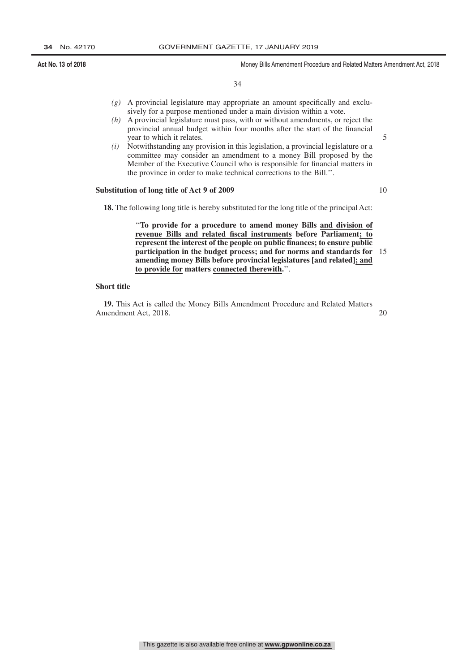34

- *(g)* A provincial legislature may appropriate an amount specifically and exclusively for a purpose mentioned under a main division within a vote.
- *(h)* A provincial legislature must pass, with or without amendments, or reject the provincial annual budget within four months after the start of the financial year to which it relates.
- *(i)* Notwithstanding any provision in this legislation, a provincial legislature or a committee may consider an amendment to a money Bill proposed by the Member of the Executive Council who is responsible for financial matters in the province in order to make technical corrections to the Bill.''.

#### **Substitution of long title of Act 9 of 2009**

10

5

**18.** The following long title is hereby substituted for the long title of the principal Act:

''**To provide for a procedure to amend money Bills and division of revenue Bills and related fiscal instruments before Parliament; to represent the interest of the people on public finances; to ensure public participation in the budget process; and for norms and standards for amending money Bills before provincial legislatures [and related]; and to provide for matters connected therewith.**''. 15

#### **Short title**

**19.** This Act is called the Money Bills Amendment Procedure and Related Matters Amendment Act, 2018.